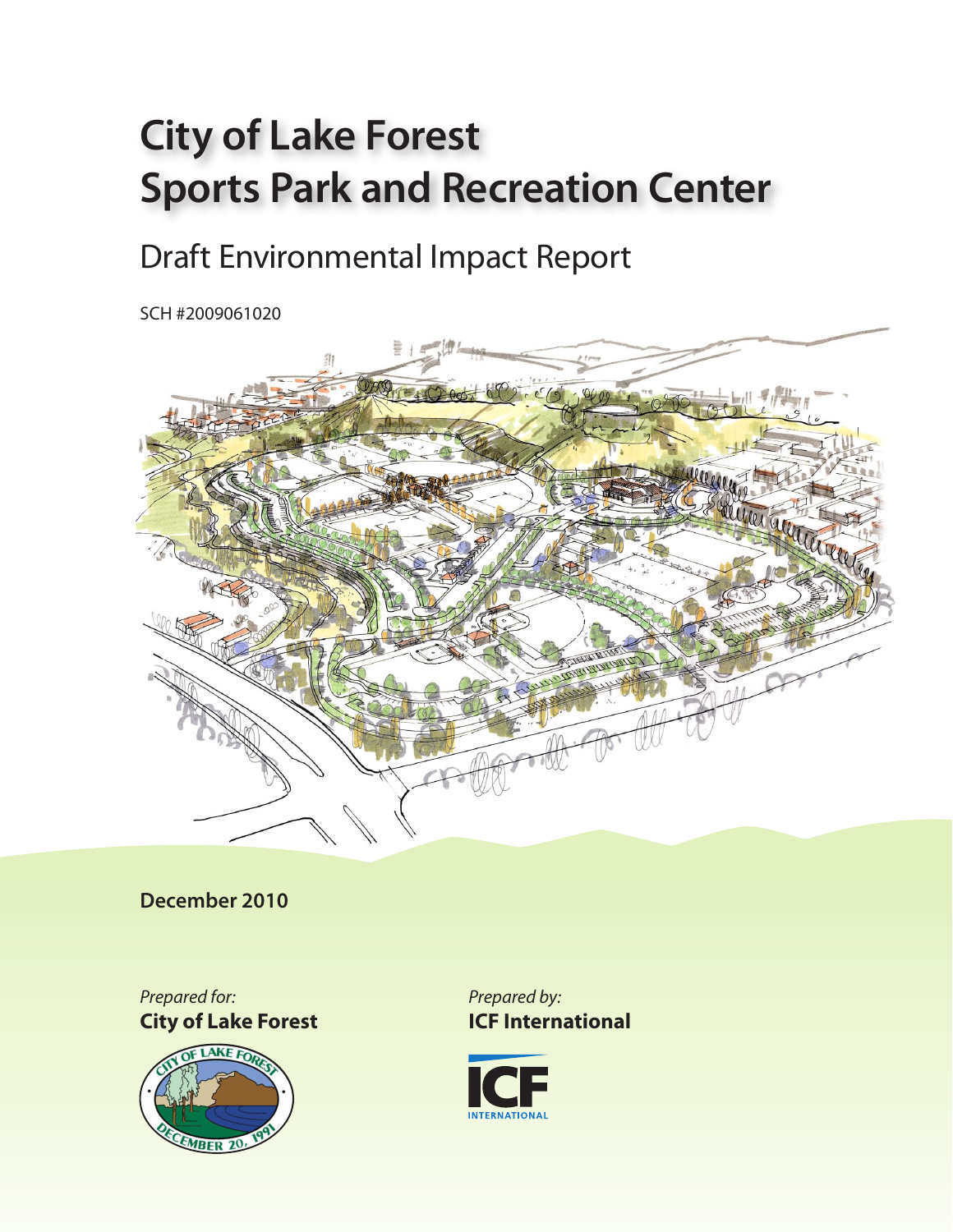# **City of Lake Forest Sports Park and Recreation Center**

# Draft Environmental Impact Report

SCH #2009061020



**December 2010**

*Prepared for:* **City of Lake Forest**



*Prepared by:* **ICF International**

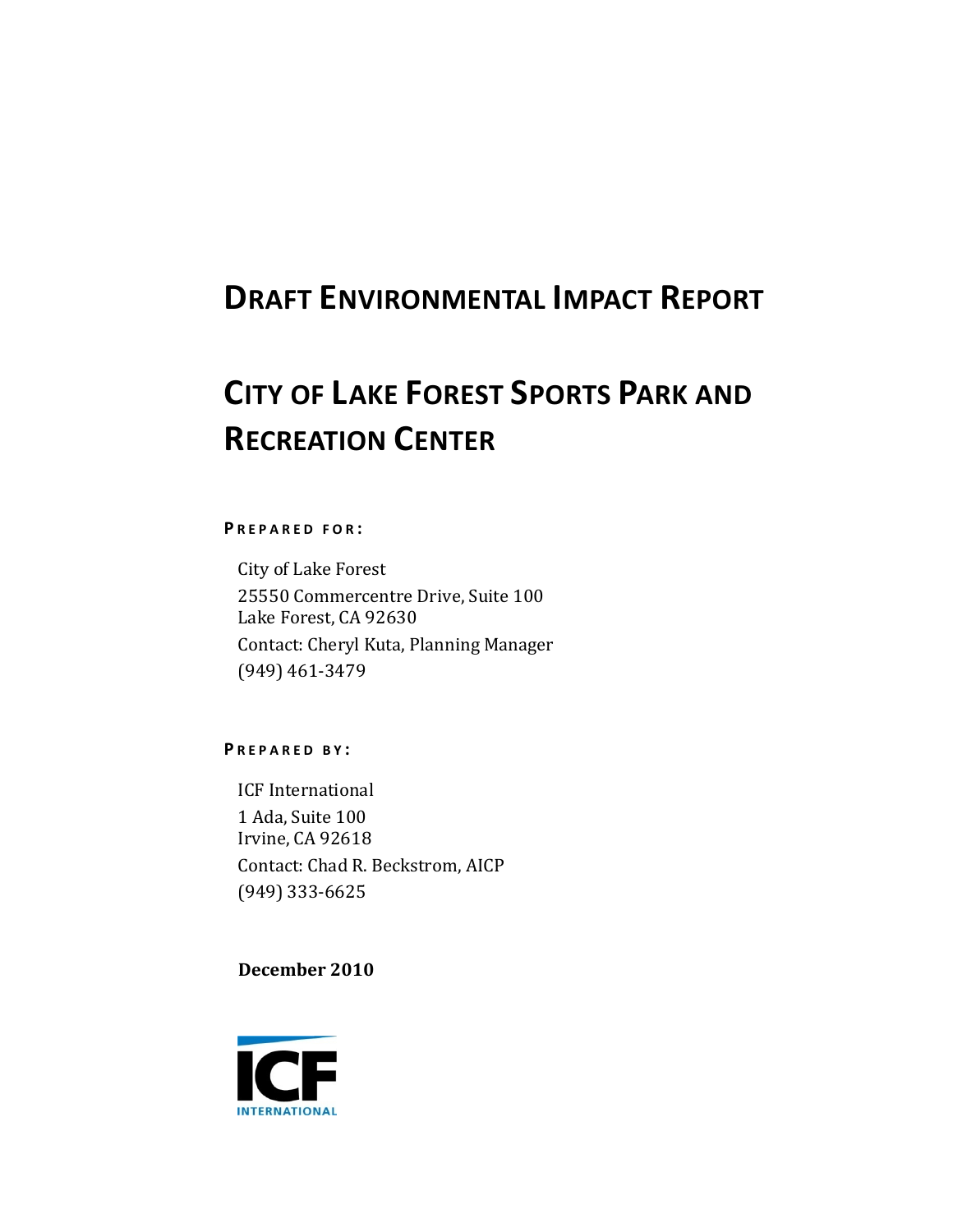### **DRAFT ENVIRONMENTAL IMPACT REPORT**

## **CITY OF LAKE FOREST SPORTS PARK AND RECREATION CENTER**

#### **P REPARED FOR :**

City of Lake Forest 25550 Commercentre Drive, Suite 100 Lake Forest, CA 92630 Contact: Cheryl Kuta, Planning Manager (949) 461‐3479

**P REPARED B Y :**

ICF International 1 Ada, Suite 100 Irvine, CA 92618 Contact: Chad R. Beckstrom, AICP (949) 333‐6625

**December 2010**

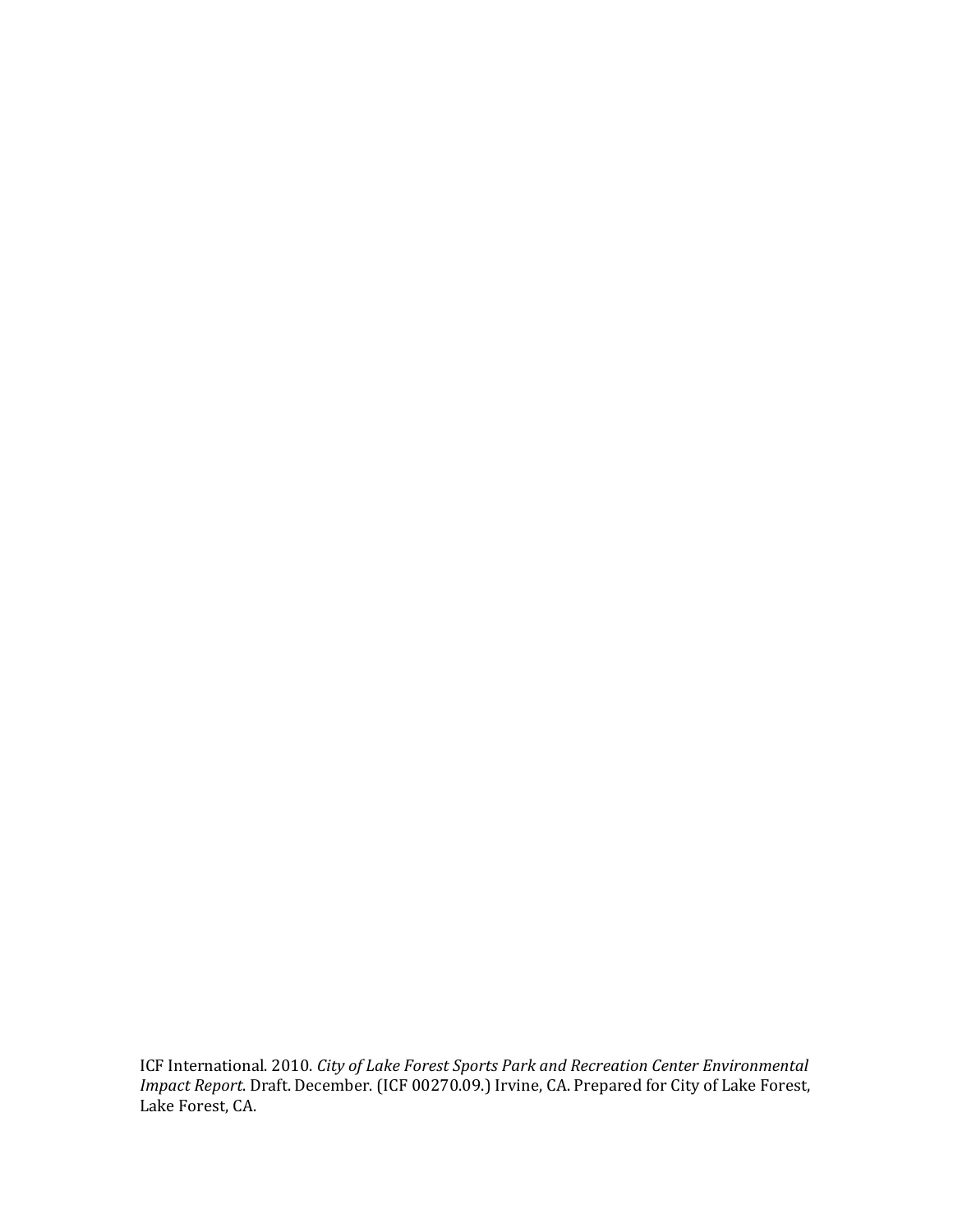ICF International. 2010. *City of Lake Forest Sports Park and Recreation Center Environmental Impact Report*. Draft. December. (ICF 00270.09.) Irvine, CA. Prepared for City of Lake Forest, Lake Forest, CA.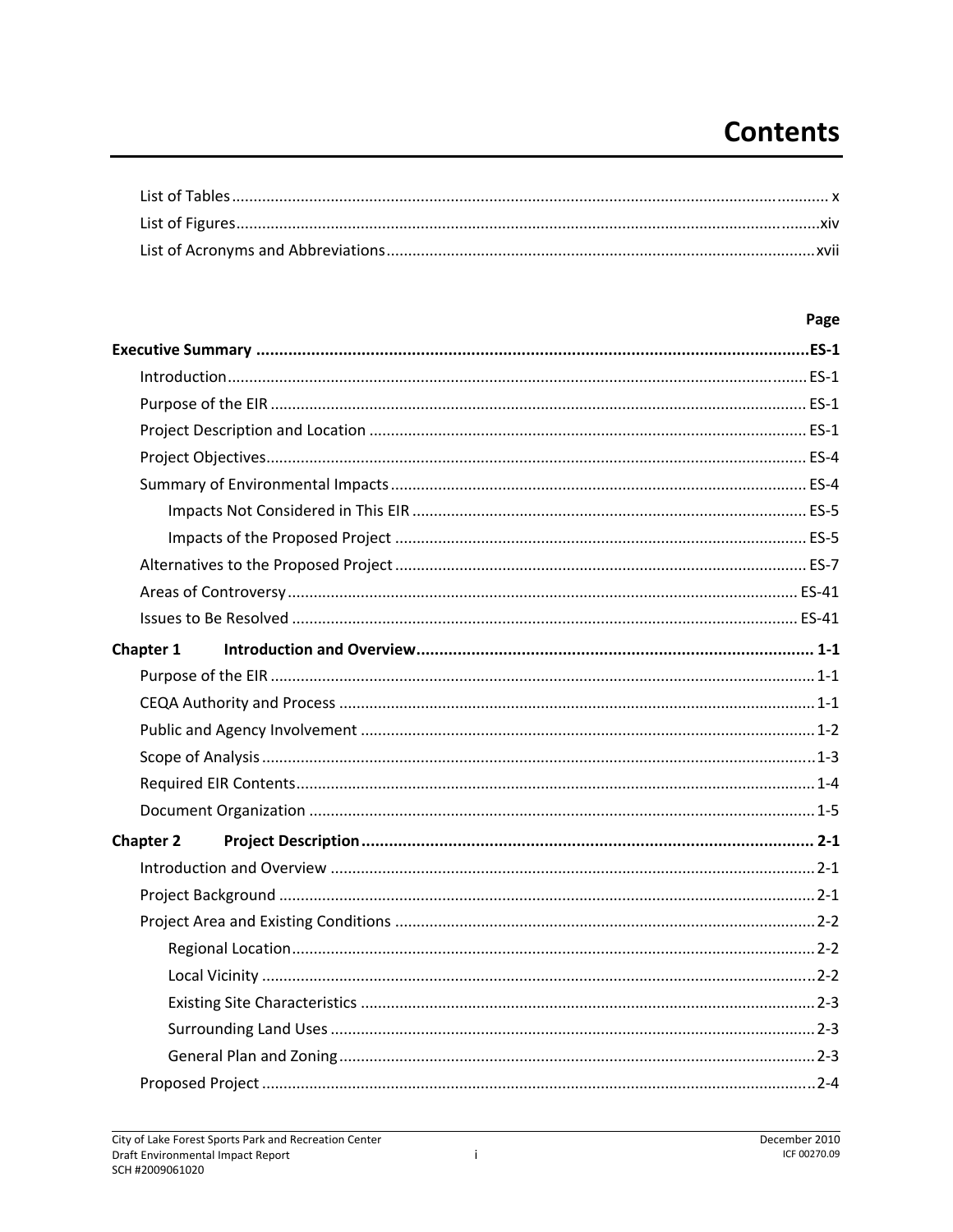### **Contents**

### Page

| Chapter 1        |  |
|------------------|--|
|                  |  |
|                  |  |
|                  |  |
|                  |  |
|                  |  |
|                  |  |
| <b>Chapter 2</b> |  |
|                  |  |
|                  |  |
|                  |  |
|                  |  |
|                  |  |
|                  |  |
|                  |  |
|                  |  |
|                  |  |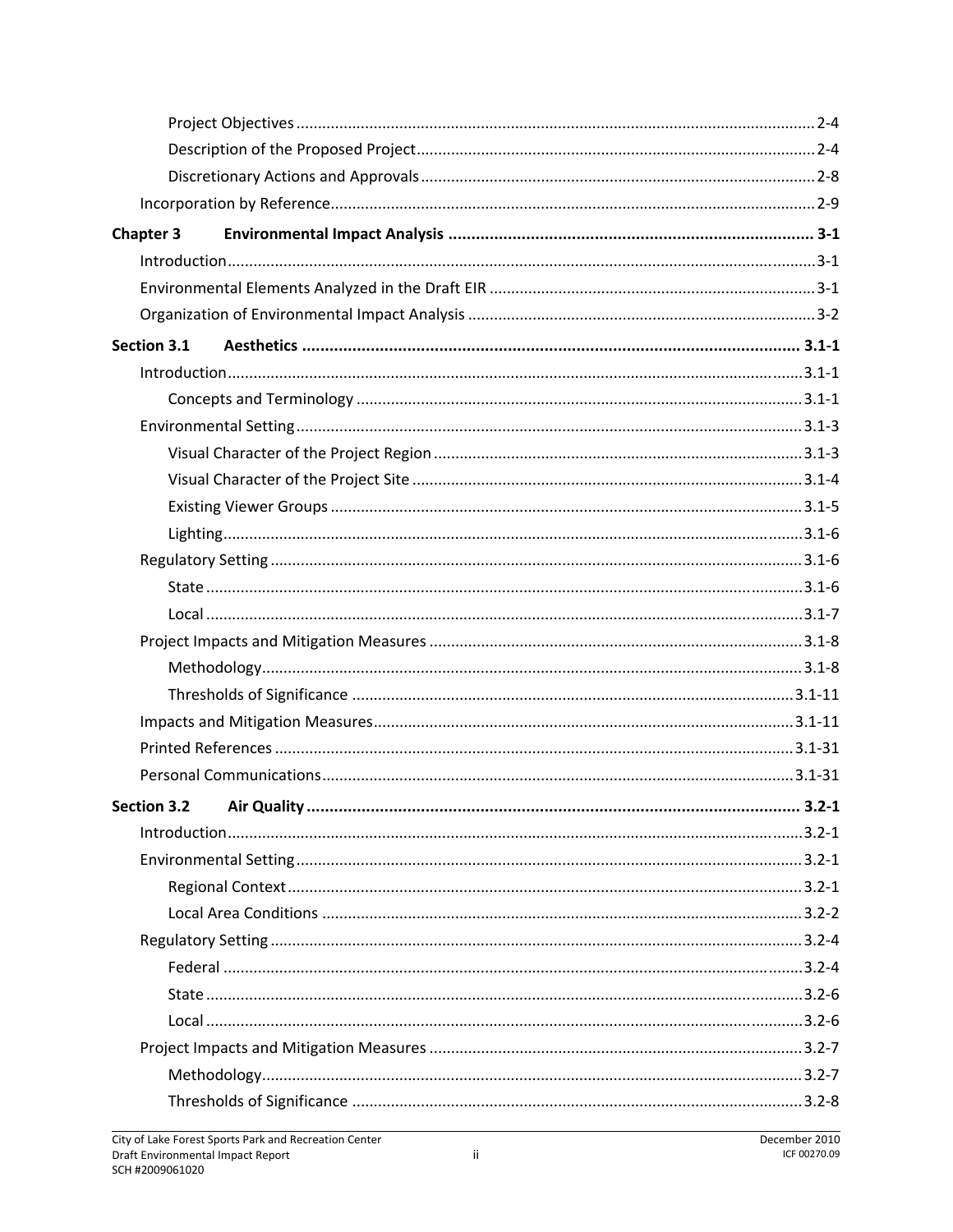| <b>Chapter 3</b>         |           |
|--------------------------|-----------|
|                          |           |
|                          |           |
|                          |           |
| Section 3.1              |           |
|                          |           |
|                          |           |
|                          |           |
|                          |           |
|                          |           |
|                          |           |
|                          |           |
|                          |           |
|                          |           |
|                          |           |
|                          |           |
|                          |           |
|                          |           |
|                          |           |
|                          |           |
|                          |           |
| Section 3.2 Air Quality. | $3.2 - 1$ |
|                          |           |
|                          |           |
|                          |           |
|                          |           |
|                          |           |
|                          |           |
|                          |           |
|                          |           |
|                          |           |
|                          |           |
|                          |           |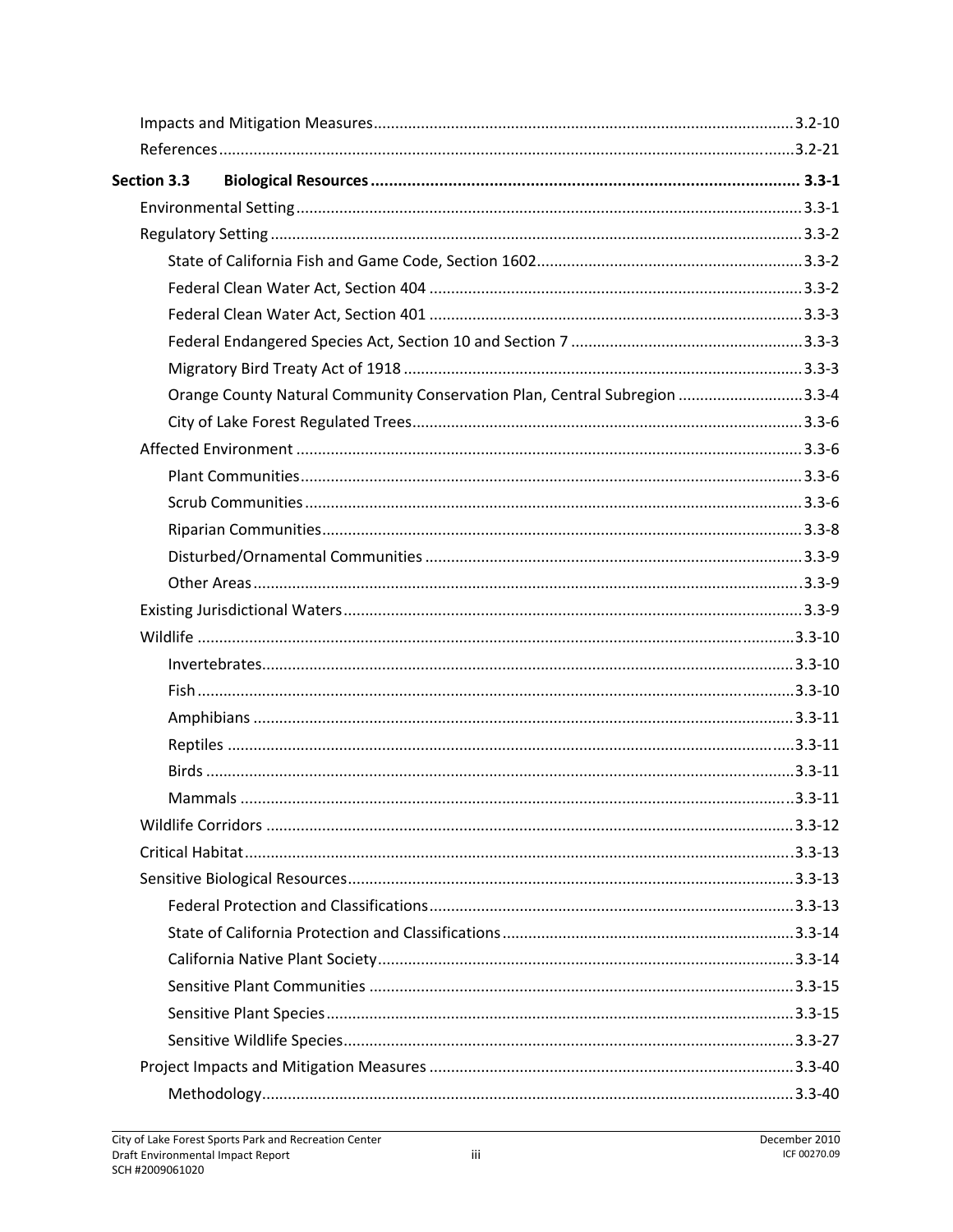| Section 3.3 |                                                                            |  |
|-------------|----------------------------------------------------------------------------|--|
|             |                                                                            |  |
|             |                                                                            |  |
|             |                                                                            |  |
|             |                                                                            |  |
|             |                                                                            |  |
|             |                                                                            |  |
|             |                                                                            |  |
|             | Orange County Natural Community Conservation Plan, Central Subregion 3.3-4 |  |
|             |                                                                            |  |
|             |                                                                            |  |
|             |                                                                            |  |
|             |                                                                            |  |
|             |                                                                            |  |
|             |                                                                            |  |
|             |                                                                            |  |
|             |                                                                            |  |
|             |                                                                            |  |
|             |                                                                            |  |
|             |                                                                            |  |
|             |                                                                            |  |
|             |                                                                            |  |
|             |                                                                            |  |
|             |                                                                            |  |
|             |                                                                            |  |
|             |                                                                            |  |
|             |                                                                            |  |
|             |                                                                            |  |
|             |                                                                            |  |
|             |                                                                            |  |
|             |                                                                            |  |
|             |                                                                            |  |
|             |                                                                            |  |
|             |                                                                            |  |
|             |                                                                            |  |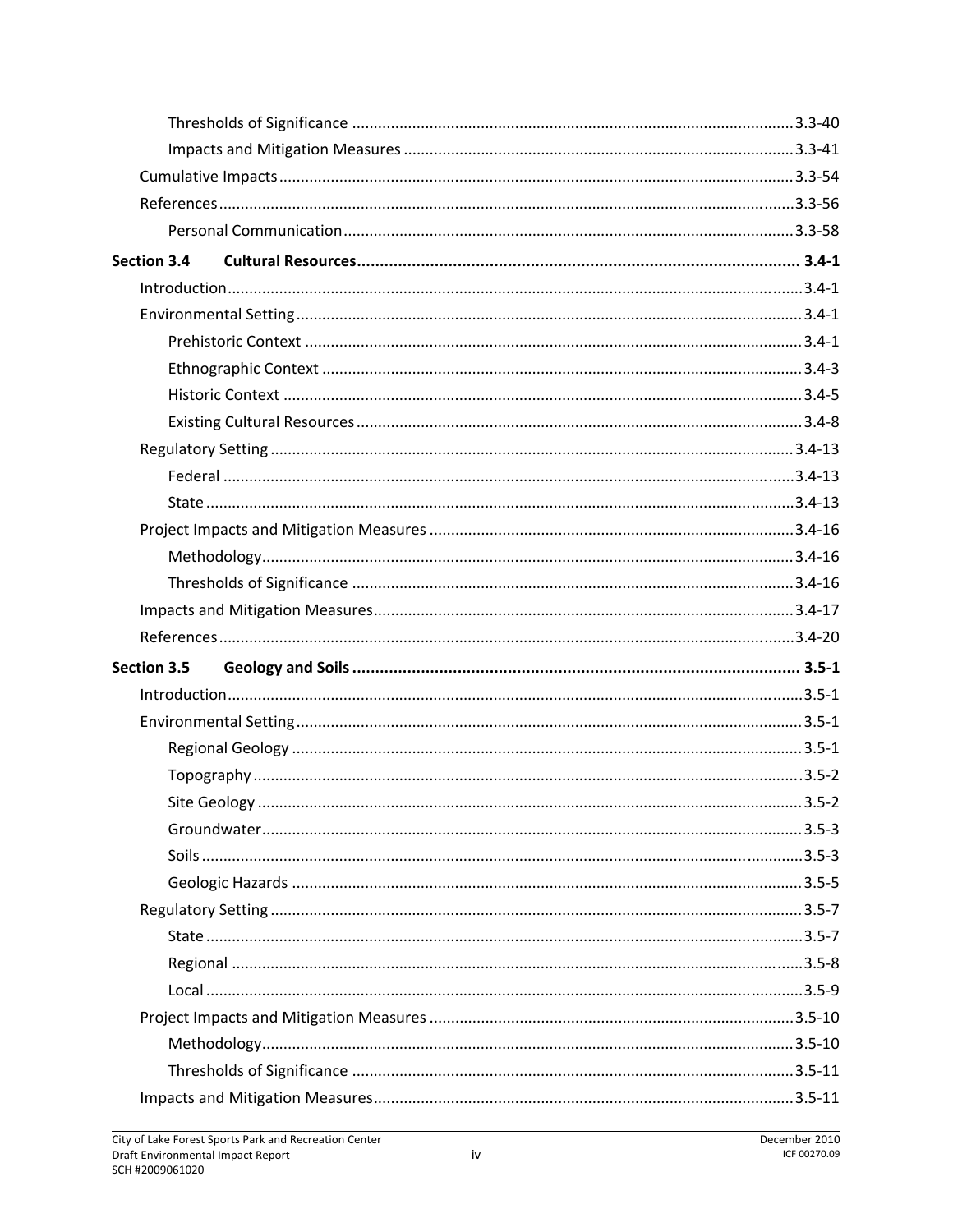| <b>Section 3.4</b> |  |
|--------------------|--|
|                    |  |
|                    |  |
|                    |  |
|                    |  |
|                    |  |
|                    |  |
|                    |  |
|                    |  |
|                    |  |
|                    |  |
|                    |  |
|                    |  |
|                    |  |
|                    |  |
| Section 3.5        |  |
|                    |  |
|                    |  |
|                    |  |
|                    |  |
|                    |  |
|                    |  |
|                    |  |
|                    |  |
|                    |  |
|                    |  |
|                    |  |
|                    |  |
|                    |  |
|                    |  |
|                    |  |
|                    |  |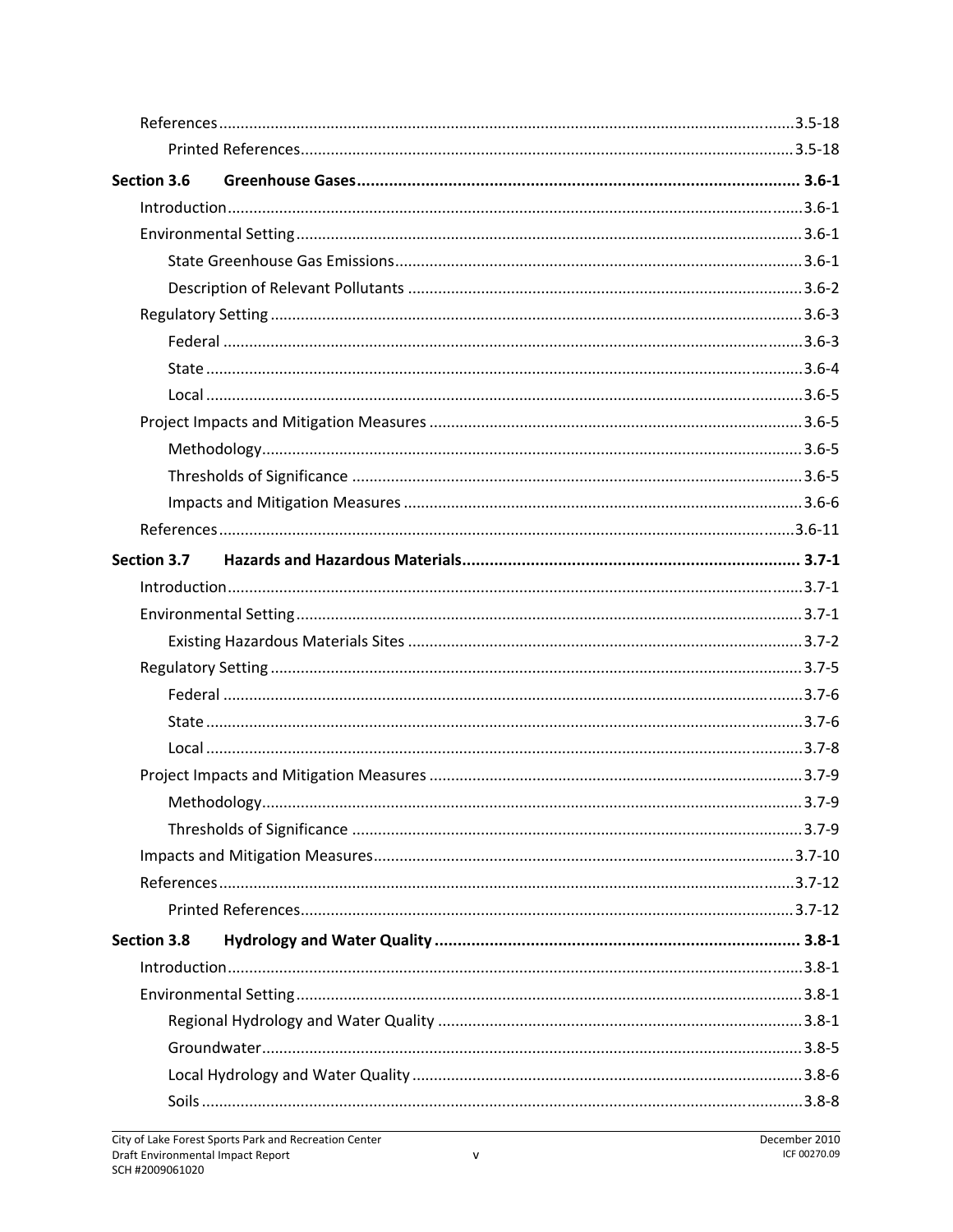| Section 3.6        |  |
|--------------------|--|
|                    |  |
|                    |  |
|                    |  |
|                    |  |
|                    |  |
|                    |  |
|                    |  |
|                    |  |
|                    |  |
|                    |  |
|                    |  |
|                    |  |
|                    |  |
| Section 3.7        |  |
|                    |  |
|                    |  |
|                    |  |
|                    |  |
|                    |  |
|                    |  |
|                    |  |
|                    |  |
|                    |  |
|                    |  |
|                    |  |
|                    |  |
|                    |  |
| <b>Section 3.8</b> |  |
|                    |  |
|                    |  |
|                    |  |
|                    |  |
|                    |  |
|                    |  |
|                    |  |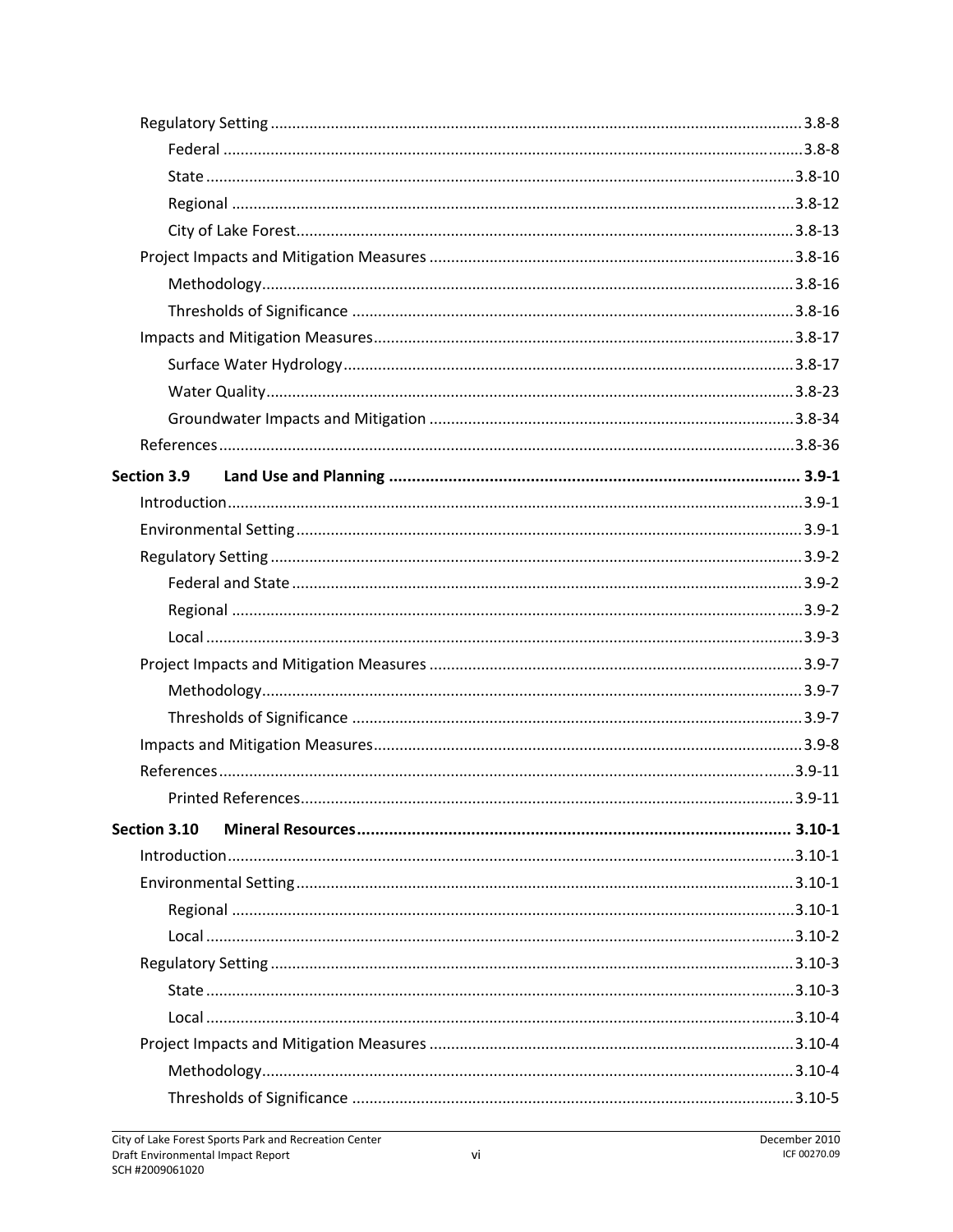| <b>Section 3.9</b> |  |
|--------------------|--|
|                    |  |
|                    |  |
|                    |  |
|                    |  |
|                    |  |
|                    |  |
|                    |  |
|                    |  |
|                    |  |
|                    |  |
|                    |  |
|                    |  |
| Section 3.10       |  |
|                    |  |
|                    |  |
|                    |  |
|                    |  |
|                    |  |
|                    |  |
|                    |  |
|                    |  |
|                    |  |
|                    |  |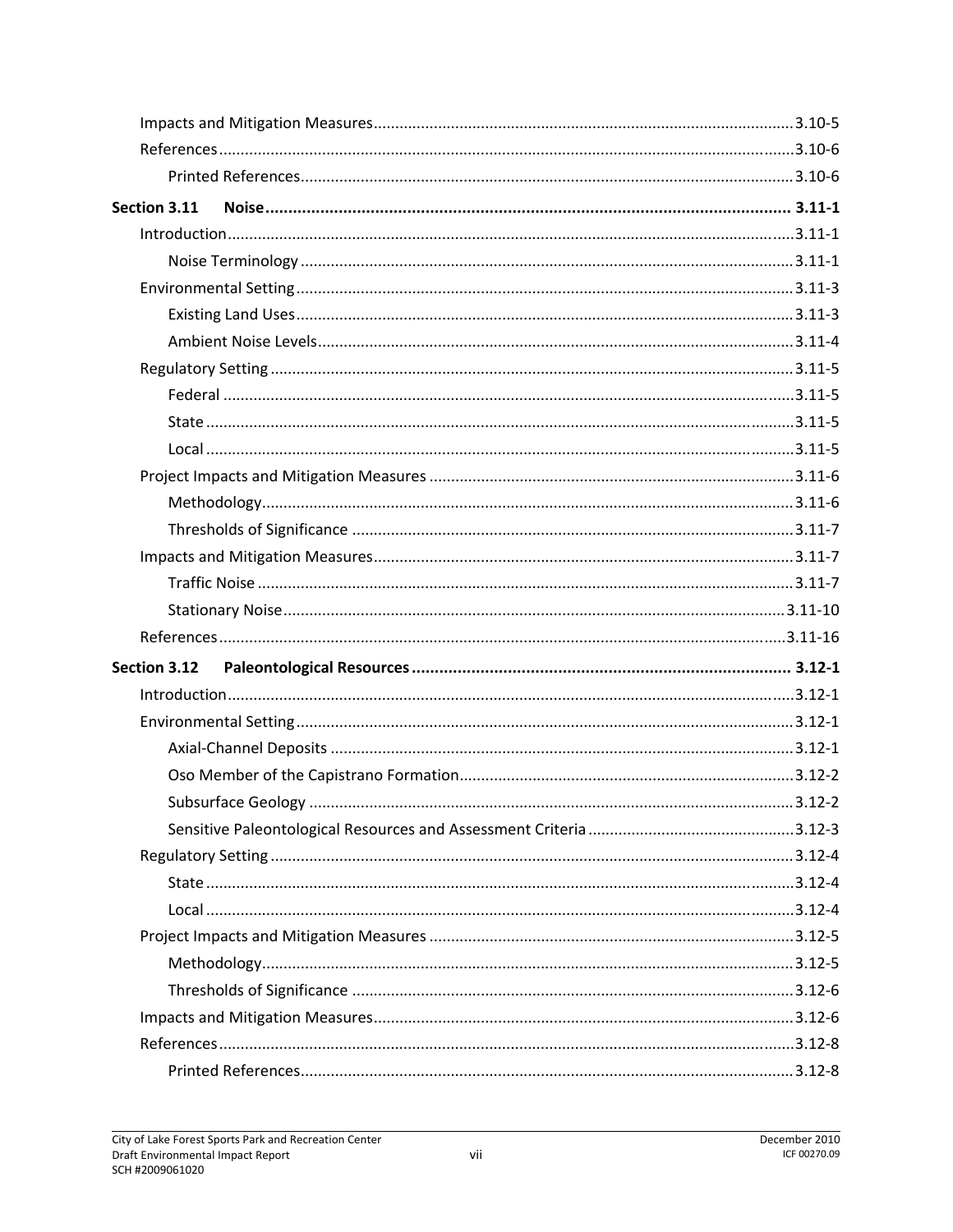| Section 3.11 |  |
|--------------|--|
|              |  |
|              |  |
|              |  |
|              |  |
|              |  |
|              |  |
|              |  |
|              |  |
|              |  |
|              |  |
|              |  |
|              |  |
|              |  |
|              |  |
|              |  |
|              |  |
| Section 3.12 |  |
|              |  |
|              |  |
|              |  |
|              |  |
|              |  |
|              |  |
|              |  |
|              |  |
|              |  |
|              |  |
|              |  |
|              |  |
|              |  |
|              |  |
|              |  |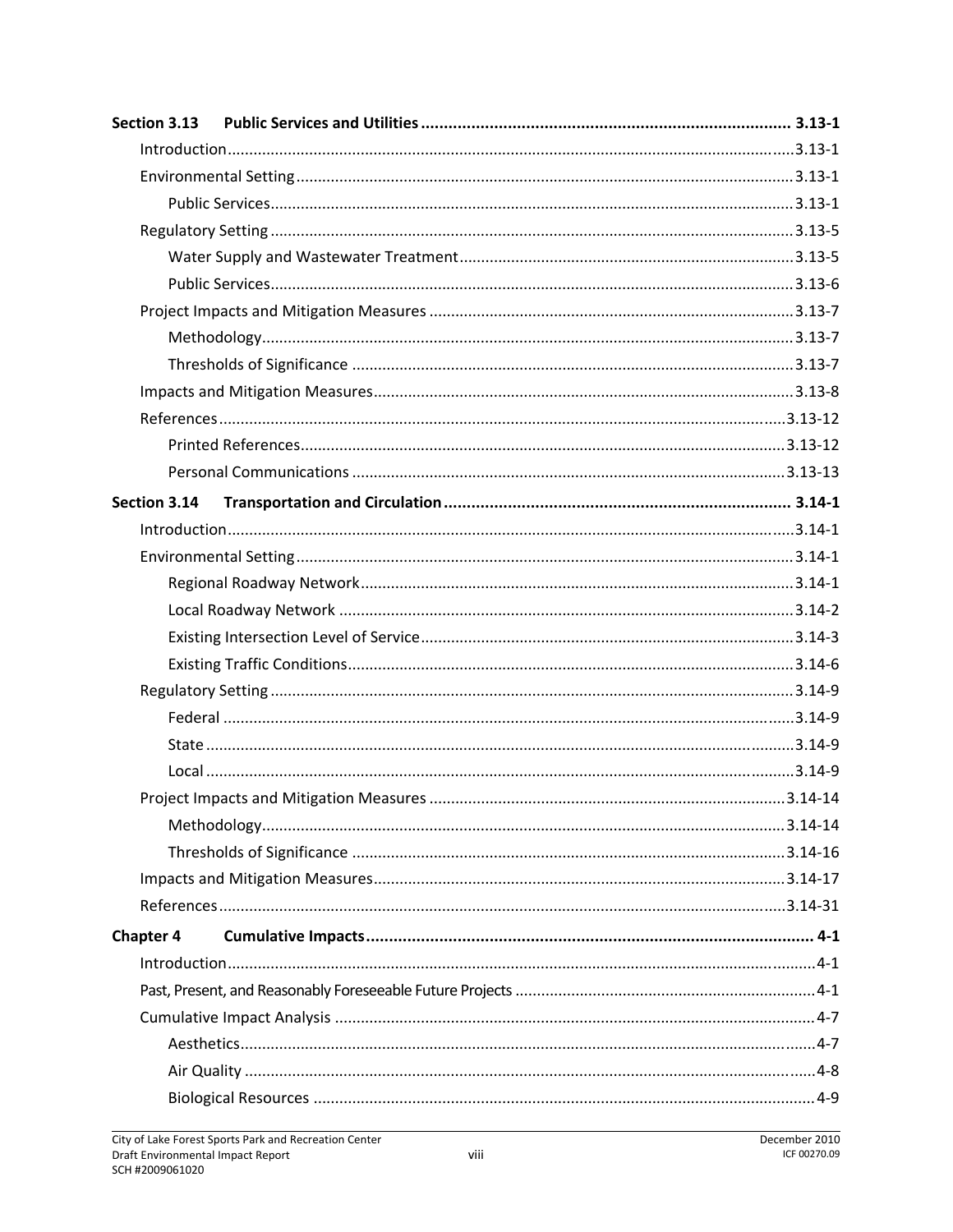| Section 3.13     |  |
|------------------|--|
|                  |  |
|                  |  |
|                  |  |
|                  |  |
|                  |  |
|                  |  |
|                  |  |
|                  |  |
|                  |  |
|                  |  |
|                  |  |
|                  |  |
|                  |  |
| Section 3.14     |  |
|                  |  |
|                  |  |
|                  |  |
|                  |  |
|                  |  |
|                  |  |
|                  |  |
|                  |  |
|                  |  |
|                  |  |
|                  |  |
|                  |  |
|                  |  |
|                  |  |
|                  |  |
| <b>Chapter 4</b> |  |
|                  |  |
|                  |  |
|                  |  |
|                  |  |
|                  |  |
|                  |  |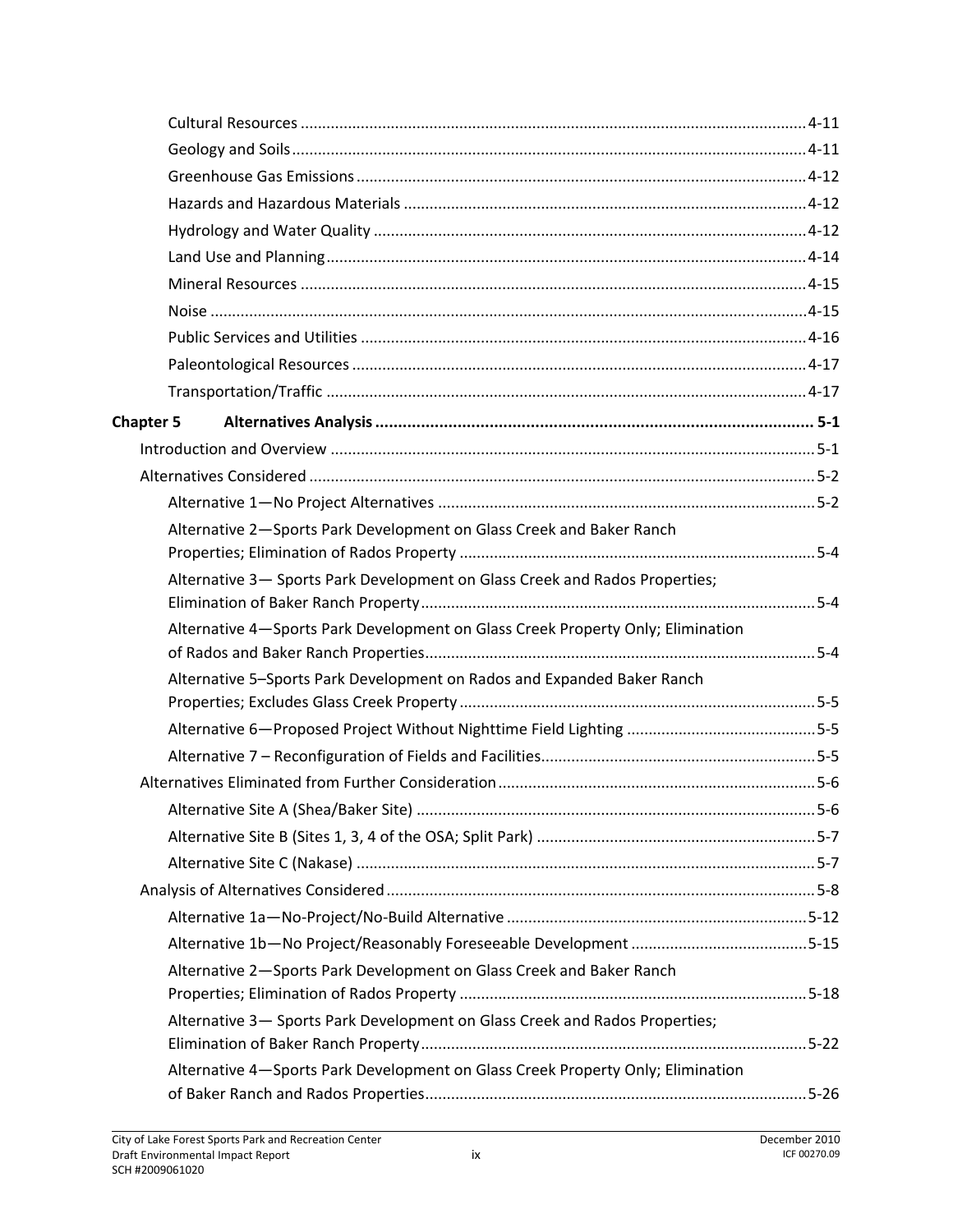| <b>Chapter 5</b> |                                                                                 |  |
|------------------|---------------------------------------------------------------------------------|--|
|                  |                                                                                 |  |
|                  |                                                                                 |  |
|                  |                                                                                 |  |
|                  | Alternative 2-Sports Park Development on Glass Creek and Baker Ranch            |  |
|                  |                                                                                 |  |
|                  | Alternative 3- Sports Park Development on Glass Creek and Rados Properties;     |  |
|                  | Alternative 4-Sports Park Development on Glass Creek Property Only; Elimination |  |
|                  | Alternative 5-Sports Park Development on Rados and Expanded Baker Ranch         |  |
|                  |                                                                                 |  |
|                  |                                                                                 |  |
|                  |                                                                                 |  |
|                  |                                                                                 |  |
|                  |                                                                                 |  |
|                  |                                                                                 |  |
|                  |                                                                                 |  |
|                  |                                                                                 |  |
|                  |                                                                                 |  |
|                  |                                                                                 |  |
|                  | Alternative 2-Sports Park Development on Glass Creek and Baker Ranch            |  |
|                  |                                                                                 |  |
|                  | Alternative 3- Sports Park Development on Glass Creek and Rados Properties;     |  |
|                  |                                                                                 |  |
|                  | Alternative 4-Sports Park Development on Glass Creek Property Only; Elimination |  |
|                  |                                                                                 |  |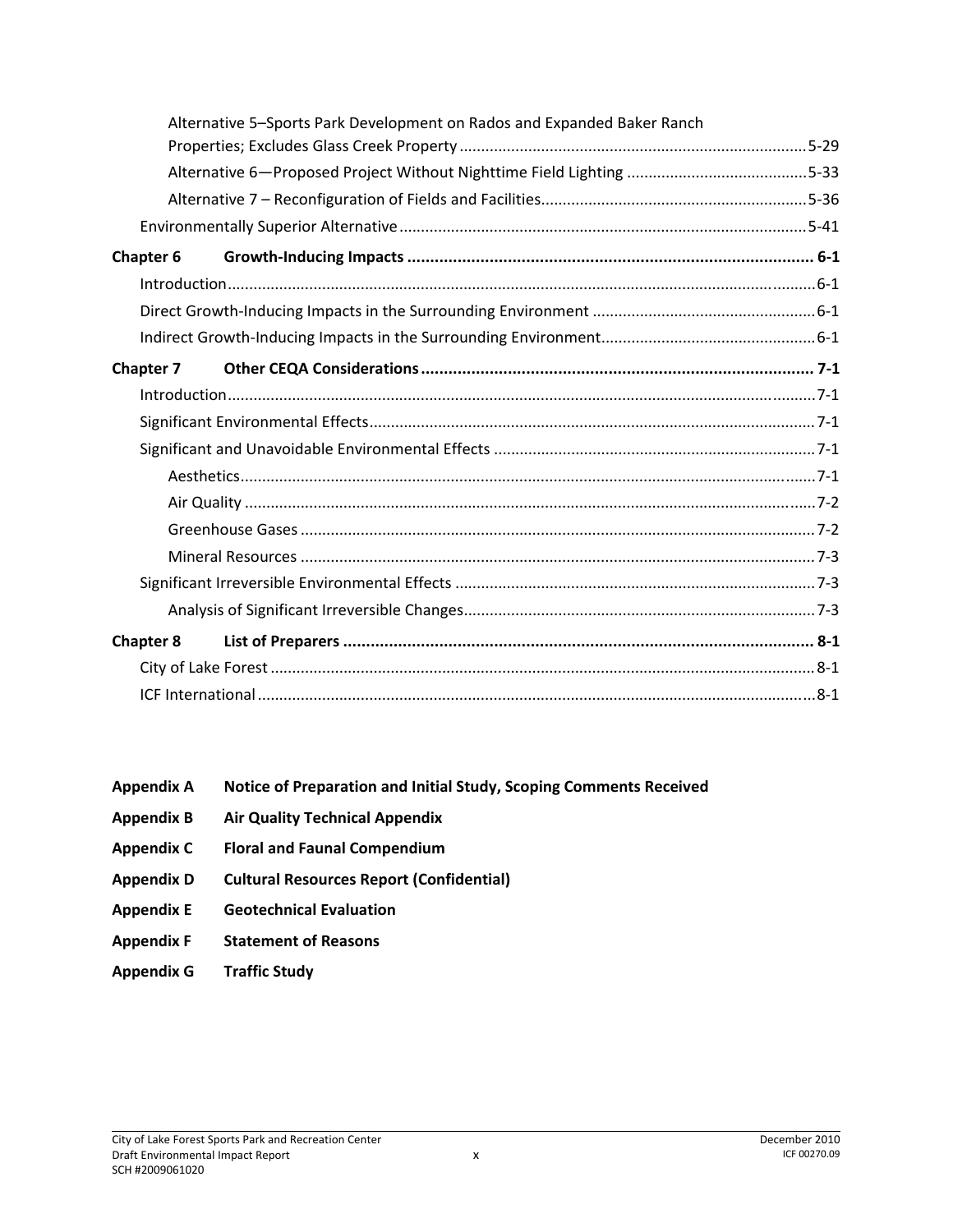| Alternative 5-Sports Park Development on Rados and Expanded Baker Ranch |  |
|-------------------------------------------------------------------------|--|
|                                                                         |  |
|                                                                         |  |
|                                                                         |  |
|                                                                         |  |
| Chapter 6                                                               |  |
|                                                                         |  |
|                                                                         |  |
|                                                                         |  |
| <b>Chapter 7</b>                                                        |  |
|                                                                         |  |
|                                                                         |  |
|                                                                         |  |
|                                                                         |  |
|                                                                         |  |
|                                                                         |  |
|                                                                         |  |
|                                                                         |  |
|                                                                         |  |
| <b>Chapter 8</b>                                                        |  |
|                                                                         |  |
|                                                                         |  |

- **Appendix A Notice of Preparation and Initial Study, Scoping Comments Received**
- **Appendix B Air Quality Technical Appendix**
- **Appendix C Floral and Faunal Compendium**
- **Appendix D Cultural Resources Report (Confidential)**
- **Appendix E Geotechnical Evaluation**
- **Appendix F Statement of Reasons**
- **Appendix G Traffic Study**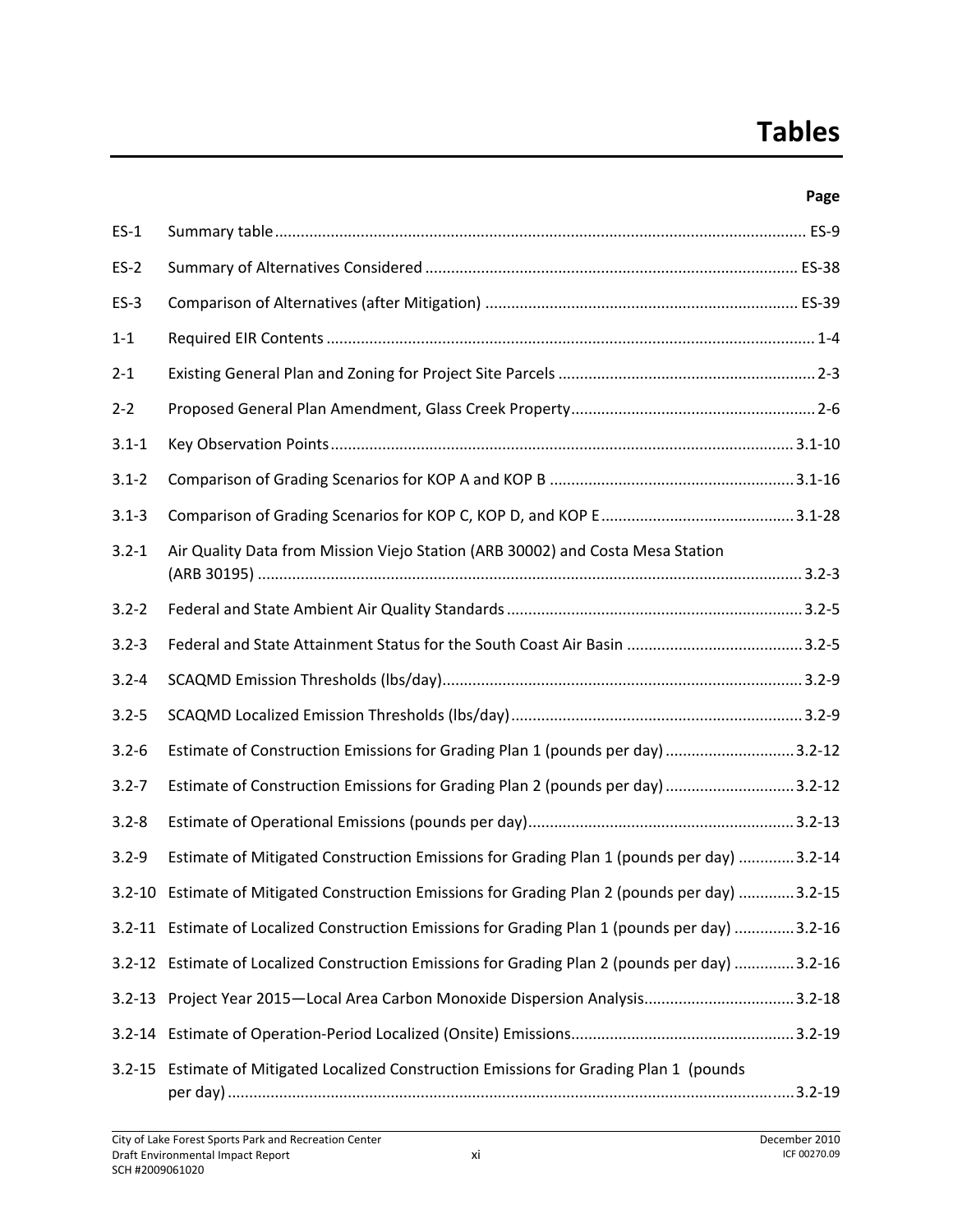### **Tables**

#### **Page**

| $ES-1$    |                                                                                                 |
|-----------|-------------------------------------------------------------------------------------------------|
| $ES-2$    |                                                                                                 |
| $ES-3$    |                                                                                                 |
| $1 - 1$   |                                                                                                 |
| $2 - 1$   |                                                                                                 |
| $2 - 2$   |                                                                                                 |
| $3.1 - 1$ |                                                                                                 |
| $3.1 - 2$ |                                                                                                 |
| $3.1 - 3$ |                                                                                                 |
| $3.2 - 1$ | Air Quality Data from Mission Viejo Station (ARB 30002) and Costa Mesa Station                  |
| $3.2 - 2$ |                                                                                                 |
| $3.2 - 3$ |                                                                                                 |
| $3.2 - 4$ |                                                                                                 |
| $3.2 - 5$ |                                                                                                 |
| $3.2 - 6$ | Estimate of Construction Emissions for Grading Plan 1 (pounds per day)  3.2-12                  |
| $3.2 - 7$ | Estimate of Construction Emissions for Grading Plan 2 (pounds per day)  3.2-12                  |
| $3.2 - 8$ |                                                                                                 |
| $3.2 - 9$ | Estimate of Mitigated Construction Emissions for Grading Plan 1 (pounds per day) 3.2-14         |
|           | 3.2-15. E3.2-15 Stimate of Mitigated Construction Emissions for Grading Plan 2 (pounds per day) |
|           | 3.2-11 Estimate of Localized Construction Emissions for Grading Plan 1 (pounds per day) 3.2-16  |
|           | 3.2-12 Estimate of Localized Construction Emissions for Grading Plan 2 (pounds per day) 3.2-16  |
|           | 3.2-13 Project Year 2015-Local Area Carbon Monoxide Dispersion Analysis3.2-18                   |
|           |                                                                                                 |
|           | 3.2-15 Estimate of Mitigated Localized Construction Emissions for Grading Plan 1 (pounds        |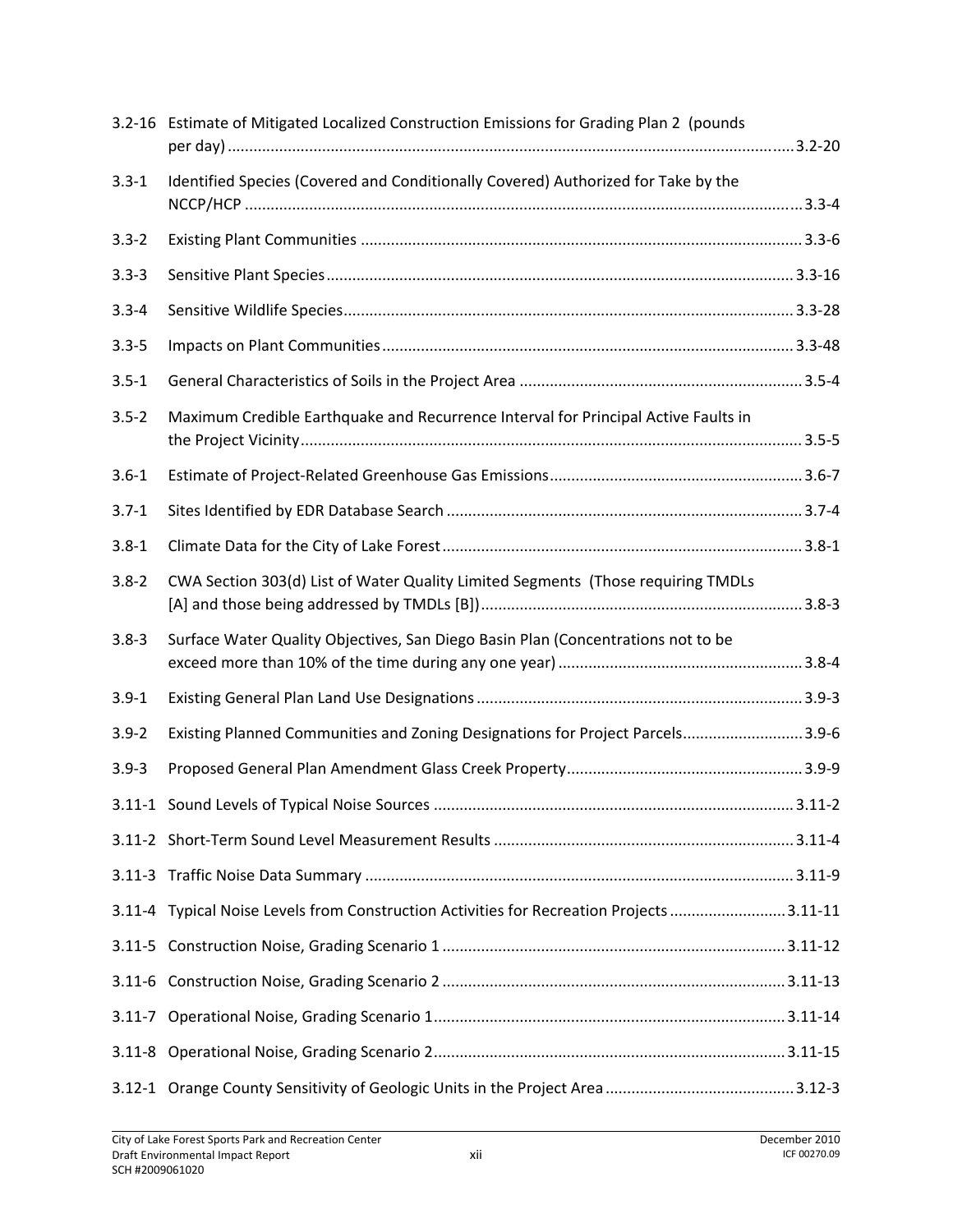|           | 3.2-16 Estimate of Mitigated Localized Construction Emissions for Grading Plan 2 (pounds |
|-----------|------------------------------------------------------------------------------------------|
| $3.3 - 1$ | Identified Species (Covered and Conditionally Covered) Authorized for Take by the        |
| $3.3 - 2$ |                                                                                          |
| $3.3 - 3$ |                                                                                          |
| $3.3 - 4$ |                                                                                          |
| $3.3 - 5$ |                                                                                          |
| $3.5 - 1$ |                                                                                          |
| $3.5 - 2$ | Maximum Credible Earthquake and Recurrence Interval for Principal Active Faults in       |
| $3.6 - 1$ |                                                                                          |
| $3.7 - 1$ |                                                                                          |
| $3.8 - 1$ |                                                                                          |
| $3.8 - 2$ | CWA Section 303(d) List of Water Quality Limited Segments (Those requiring TMDLs         |
| $3.8 - 3$ | Surface Water Quality Objectives, San Diego Basin Plan (Concentrations not to be         |
| $3.9 - 1$ |                                                                                          |
| $3.9 - 2$ | Existing Planned Communities and Zoning Designations for Project Parcels3.9-6            |
| $3.9 - 3$ |                                                                                          |
|           |                                                                                          |
|           |                                                                                          |
|           |                                                                                          |
|           | 3.11-4 Typical Noise Levels from Construction Activities for Recreation Projects 3.11-11 |
|           |                                                                                          |
|           |                                                                                          |
|           |                                                                                          |
|           |                                                                                          |
|           |                                                                                          |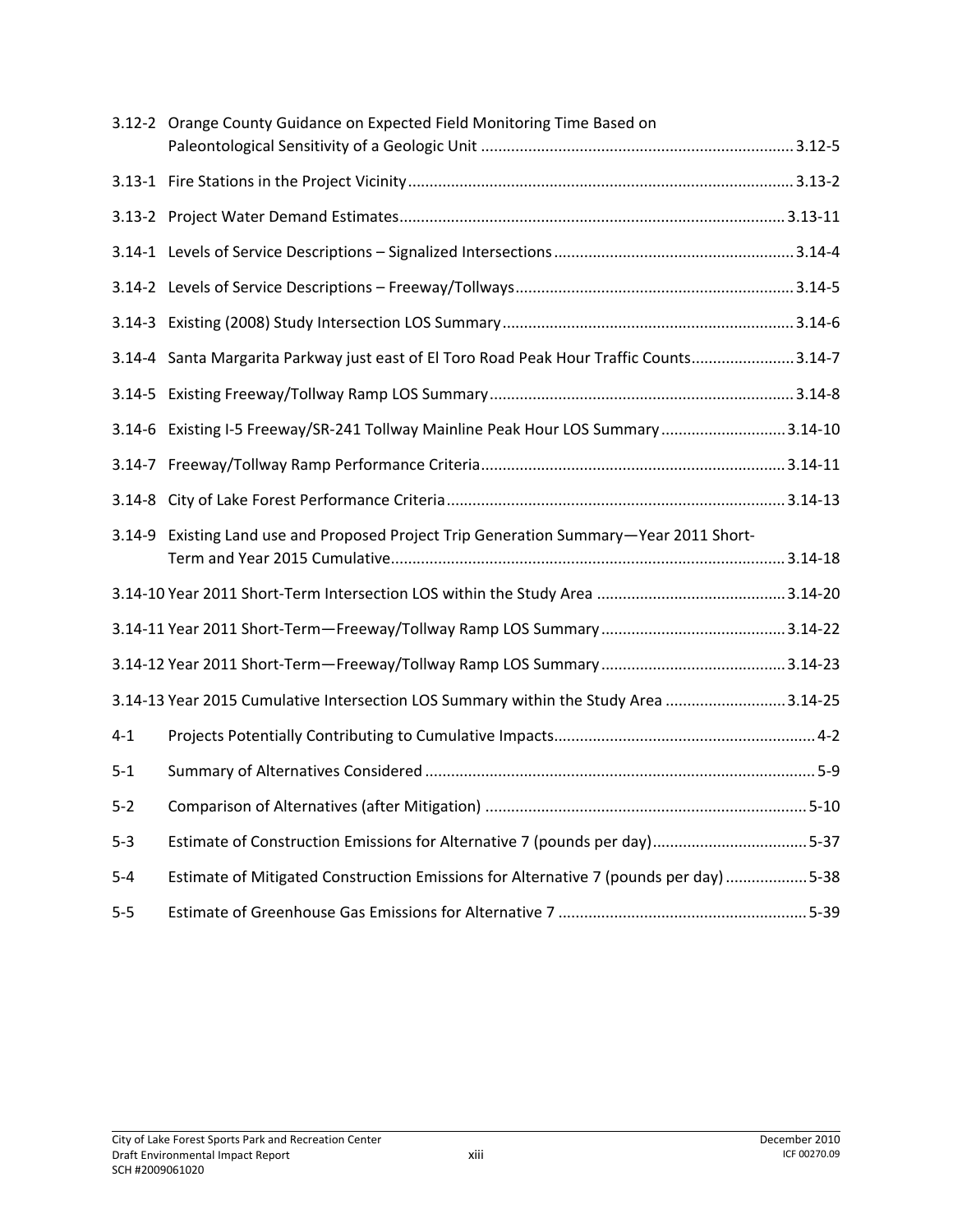|         | 3.12-2 Orange County Guidance on Expected Field Monitoring Time Based on                |  |
|---------|-----------------------------------------------------------------------------------------|--|
|         |                                                                                         |  |
|         |                                                                                         |  |
|         |                                                                                         |  |
|         |                                                                                         |  |
|         |                                                                                         |  |
|         |                                                                                         |  |
|         | 3.14-4 Santa Margarita Parkway just east of El Toro Road Peak Hour Traffic Counts3.14-7 |  |
|         |                                                                                         |  |
|         | 3.14-6 Existing I-5 Freeway/SR-241 Tollway Mainline Peak Hour LOS Summary 3.14-10       |  |
|         |                                                                                         |  |
|         |                                                                                         |  |
|         | 3.14-9 Existing Land use and Proposed Project Trip Generation Summary-Year 2011 Short-  |  |
|         |                                                                                         |  |
|         |                                                                                         |  |
|         |                                                                                         |  |
|         | 3.14-13 Year 2015 Cumulative Intersection LOS Summary within the Study Area 3.14-25     |  |
| $4 - 1$ |                                                                                         |  |
| $5 - 1$ |                                                                                         |  |
| $5-2$   |                                                                                         |  |
| $5 - 3$ | Estimate of Construction Emissions for Alternative 7 (pounds per day)5-37               |  |
| $5 - 4$ | Estimate of Mitigated Construction Emissions for Alternative 7 (pounds per day) 5-38    |  |
| $5 - 5$ |                                                                                         |  |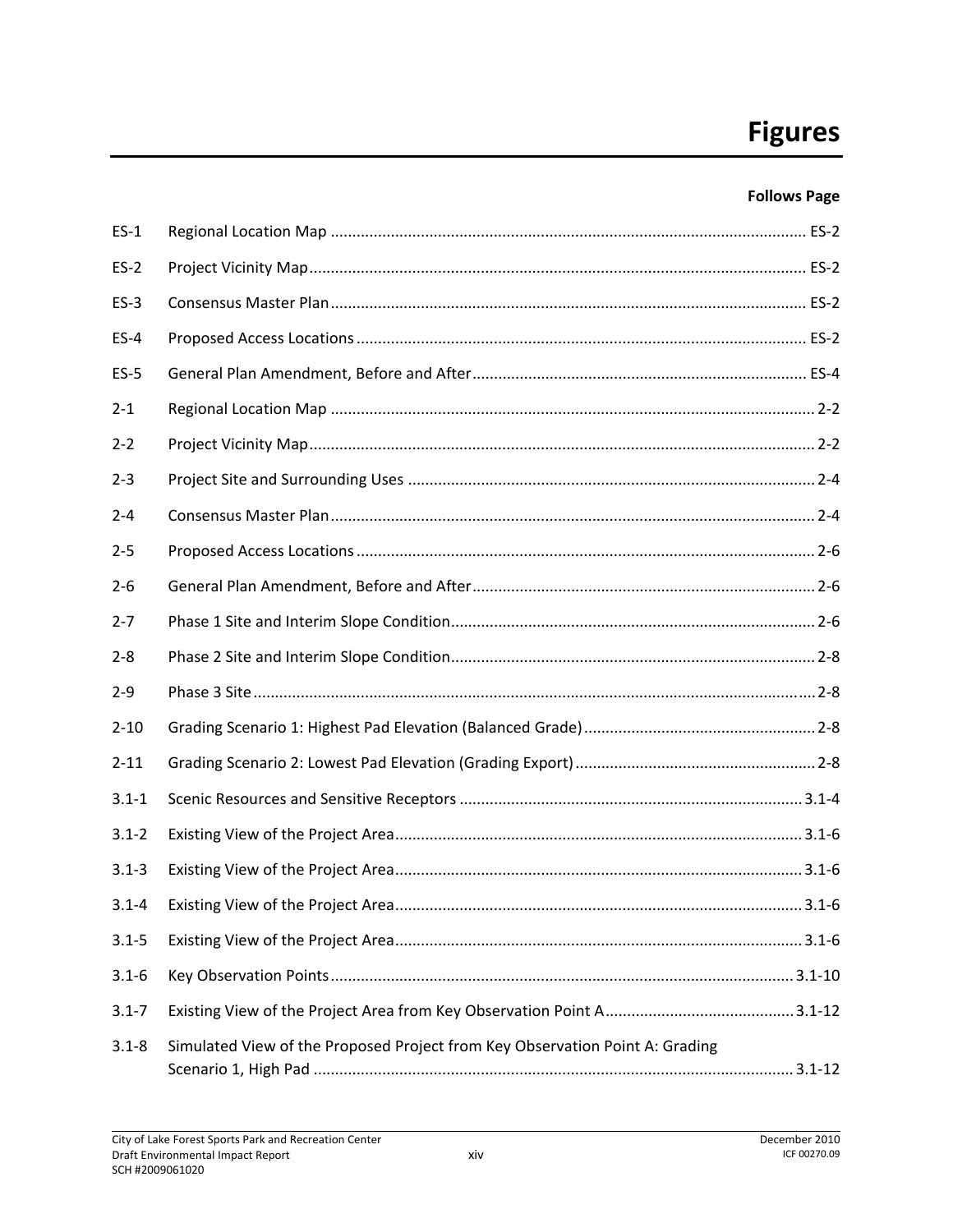#### **Follows Page**

| $ES-1$    |                                                                              |  |
|-----------|------------------------------------------------------------------------------|--|
| $ES-2$    |                                                                              |  |
| $ES-3$    |                                                                              |  |
| $ES-4$    |                                                                              |  |
| $ES-5$    |                                                                              |  |
| $2 - 1$   |                                                                              |  |
| $2 - 2$   |                                                                              |  |
| $2 - 3$   |                                                                              |  |
| $2 - 4$   |                                                                              |  |
| $2 - 5$   |                                                                              |  |
| $2 - 6$   |                                                                              |  |
| $2 - 7$   |                                                                              |  |
| $2 - 8$   |                                                                              |  |
| $2 - 9$   |                                                                              |  |
| $2 - 10$  |                                                                              |  |
| $2 - 11$  |                                                                              |  |
| $3.1 - 1$ |                                                                              |  |
| $3.1 - 2$ |                                                                              |  |
| $3.1 - 3$ |                                                                              |  |
| $3.1 - 4$ |                                                                              |  |
| $3.1 - 5$ |                                                                              |  |
| $3.1 - 6$ |                                                                              |  |
| $3.1 - 7$ |                                                                              |  |
| $3.1 - 8$ | Simulated View of the Proposed Project from Key Observation Point A: Grading |  |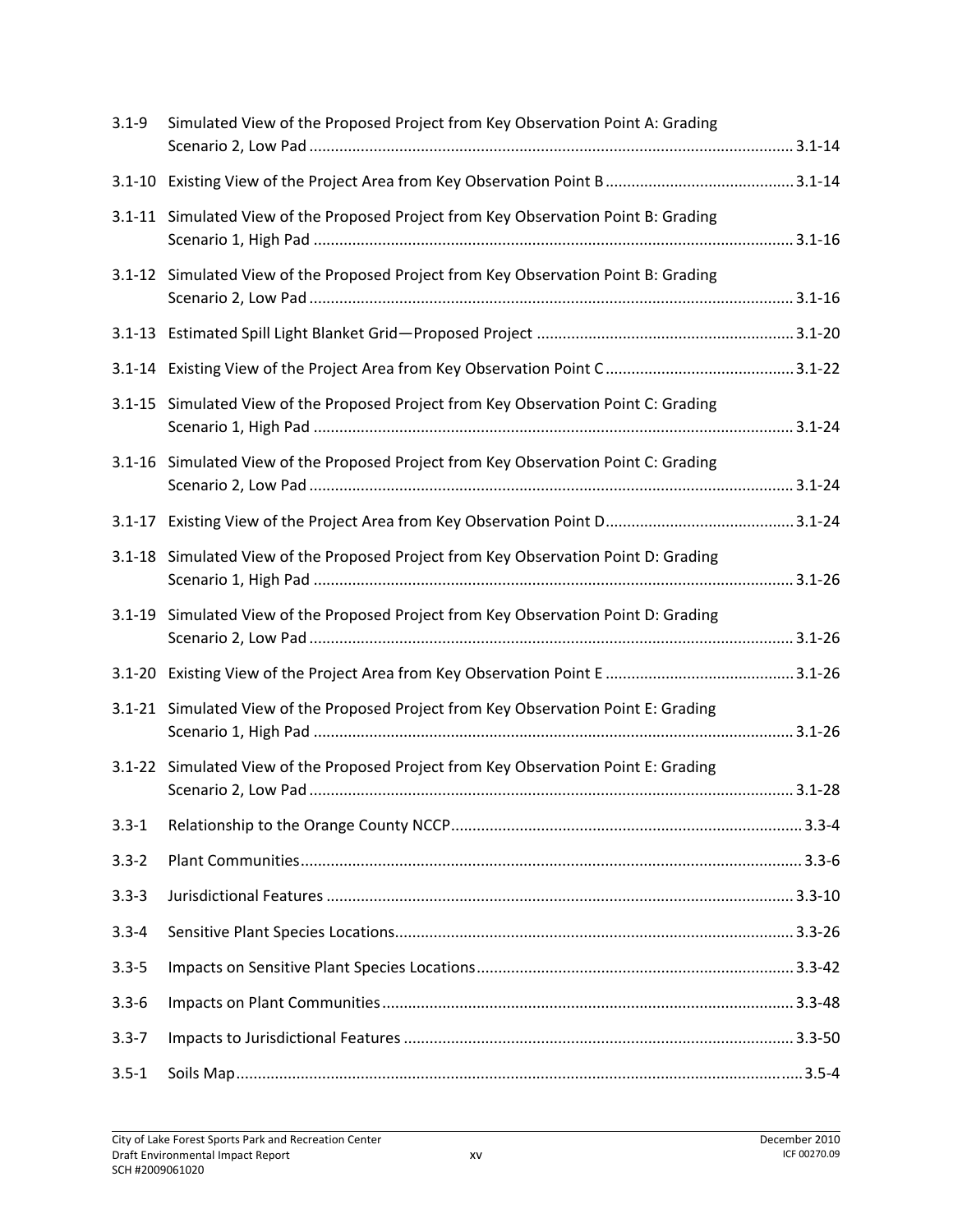| $3.1 - 9$ | Simulated View of the Proposed Project from Key Observation Point A: Grading        |  |
|-----------|-------------------------------------------------------------------------------------|--|
|           |                                                                                     |  |
|           | 3.1-11 Simulated View of the Proposed Project from Key Observation Point B: Grading |  |
|           | 3.1-12 Simulated View of the Proposed Project from Key Observation Point B: Grading |  |
|           |                                                                                     |  |
|           |                                                                                     |  |
|           | 3.1-15 Simulated View of the Proposed Project from Key Observation Point C: Grading |  |
|           | 3.1-16 Simulated View of the Proposed Project from Key Observation Point C: Grading |  |
|           |                                                                                     |  |
|           | 3.1-18 Simulated View of the Proposed Project from Key Observation Point D: Grading |  |
|           | 3.1-19 Simulated View of the Proposed Project from Key Observation Point D: Grading |  |
|           |                                                                                     |  |
|           | 3.1-21 Simulated View of the Proposed Project from Key Observation Point E: Grading |  |
|           | 3.1-22 Simulated View of the Proposed Project from Key Observation Point E: Grading |  |
| $3.3 - 1$ |                                                                                     |  |
| $3.3 - 2$ |                                                                                     |  |
| $3.3 - 3$ |                                                                                     |  |
| $3.3 - 4$ |                                                                                     |  |
| $3.3 - 5$ |                                                                                     |  |
| $3.3 - 6$ |                                                                                     |  |
| $3.3 - 7$ |                                                                                     |  |
| $3.5 - 1$ |                                                                                     |  |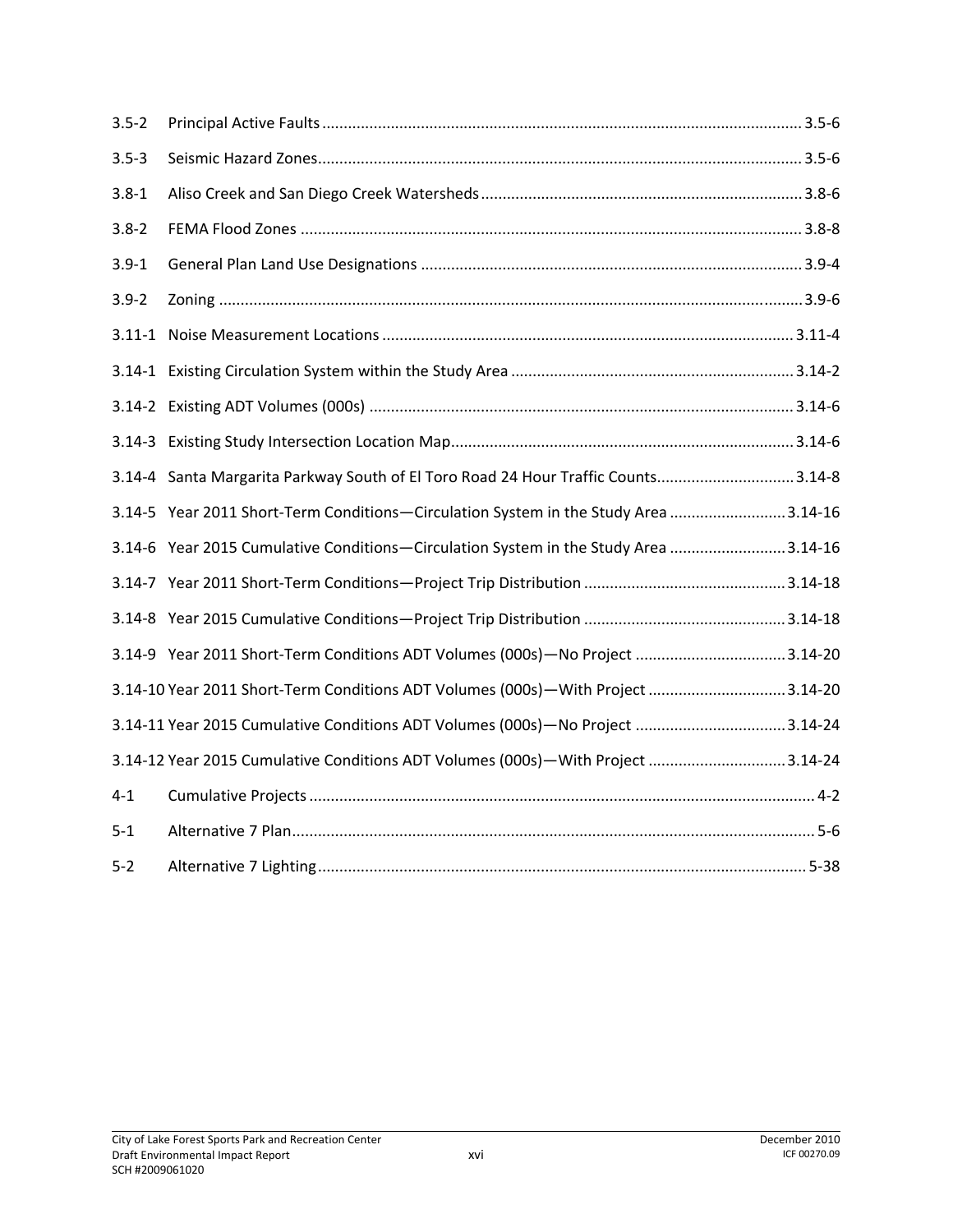| $3.5 - 2$ |                                                                                     |  |
|-----------|-------------------------------------------------------------------------------------|--|
| $3.5 - 3$ |                                                                                     |  |
| $3.8 - 1$ |                                                                                     |  |
| $3.8 - 2$ |                                                                                     |  |
| $3.9 - 1$ |                                                                                     |  |
| $3.9 - 2$ |                                                                                     |  |
|           |                                                                                     |  |
|           |                                                                                     |  |
|           |                                                                                     |  |
|           |                                                                                     |  |
|           | 3.14-4 Santa Margarita Parkway South of El Toro Road 24 Hour Traffic Counts3.14-8   |  |
|           | 3.14-5 Year 2011 Short-Term Conditions-Circulation System in the Study Area 3.14-16 |  |
|           | 3.14-6 Year 2015 Cumulative Conditions-Circulation System in the Study Area 3.14-16 |  |
|           |                                                                                     |  |
|           |                                                                                     |  |
|           | 3.14-9 Year 2011 Short-Term Conditions ADT Volumes (000s)-No Project 3.14-20        |  |
|           | 3.14-10 Year 2011 Short-Term Conditions ADT Volumes (000s)-With Project 3.14-20     |  |
|           | 3.14-11 Year 2015 Cumulative Conditions ADT Volumes (000s)-No Project 3.14-24       |  |
|           | 3.14-12 Year 2015 Cumulative Conditions ADT Volumes (000s) - With Project 3.14-24   |  |
| $4 - 1$   |                                                                                     |  |
| $5 - 1$   |                                                                                     |  |
| $5 - 2$   |                                                                                     |  |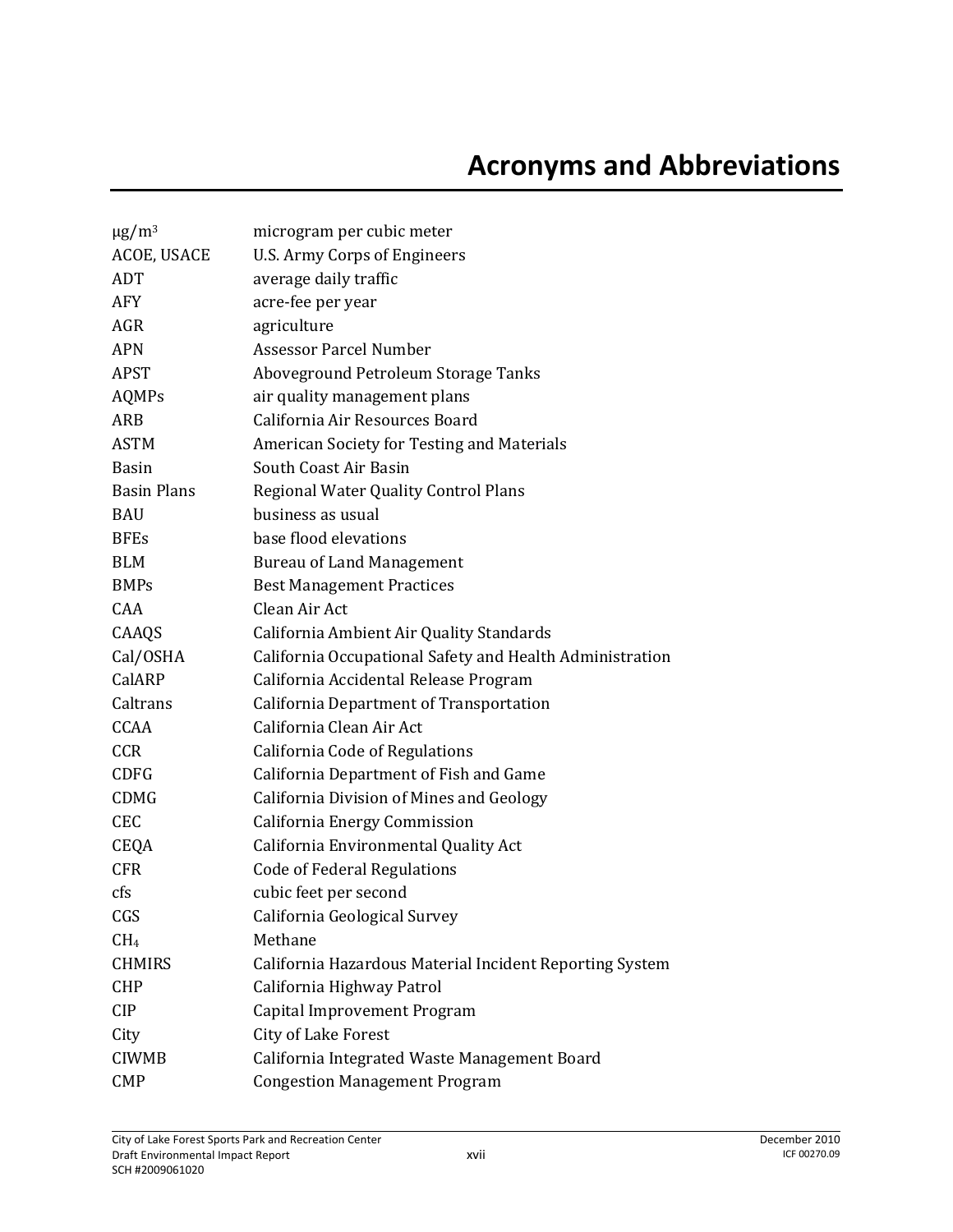| $\mu$ g/m <sup>3</sup> | microgram per cubic meter                                |
|------------------------|----------------------------------------------------------|
| ACOE, USACE            | <b>U.S. Army Corps of Engineers</b>                      |
| ADT                    | average daily traffic                                    |
| <b>AFY</b>             | acre-fee per year                                        |
| <b>AGR</b>             | agriculture                                              |
| <b>APN</b>             | <b>Assessor Parcel Number</b>                            |
| <b>APST</b>            | Aboveground Petroleum Storage Tanks                      |
| AQMPs                  | air quality management plans                             |
| ARB                    | California Air Resources Board                           |
| <b>ASTM</b>            | American Society for Testing and Materials               |
| <b>Basin</b>           | South Coast Air Basin                                    |
| <b>Basin Plans</b>     | Regional Water Quality Control Plans                     |
| <b>BAU</b>             | business as usual                                        |
| <b>BFEs</b>            | base flood elevations                                    |
| <b>BLM</b>             | <b>Bureau of Land Management</b>                         |
| BMPs                   | <b>Best Management Practices</b>                         |
| CAA                    | Clean Air Act                                            |
| CAAQS                  | California Ambient Air Quality Standards                 |
| Cal/OSHA               | California Occupational Safety and Health Administration |
| CalARP                 | California Accidental Release Program                    |
| Caltrans               | California Department of Transportation                  |
| <b>CCAA</b>            | California Clean Air Act                                 |
| <b>CCR</b>             | California Code of Regulations                           |
| <b>CDFG</b>            | California Department of Fish and Game                   |
| <b>CDMG</b>            | California Division of Mines and Geology                 |
| <b>CEC</b>             | California Energy Commission                             |
| CEQA                   | California Environmental Quality Act                     |
| <b>CFR</b>             | <b>Code of Federal Regulations</b>                       |
| cfs                    | cubic feet per second                                    |
| CGS                    | California Geological Survey                             |
| CH <sub>4</sub>        | Methane                                                  |
| <b>CHMIRS</b>          | California Hazardous Material Incident Reporting System  |
| <b>CHP</b>             | California Highway Patrol                                |
| <b>CIP</b>             | Capital Improvement Program                              |
| City                   | City of Lake Forest                                      |
| <b>CIWMB</b>           | California Integrated Waste Management Board             |
| <b>CMP</b>             | <b>Congestion Management Program</b>                     |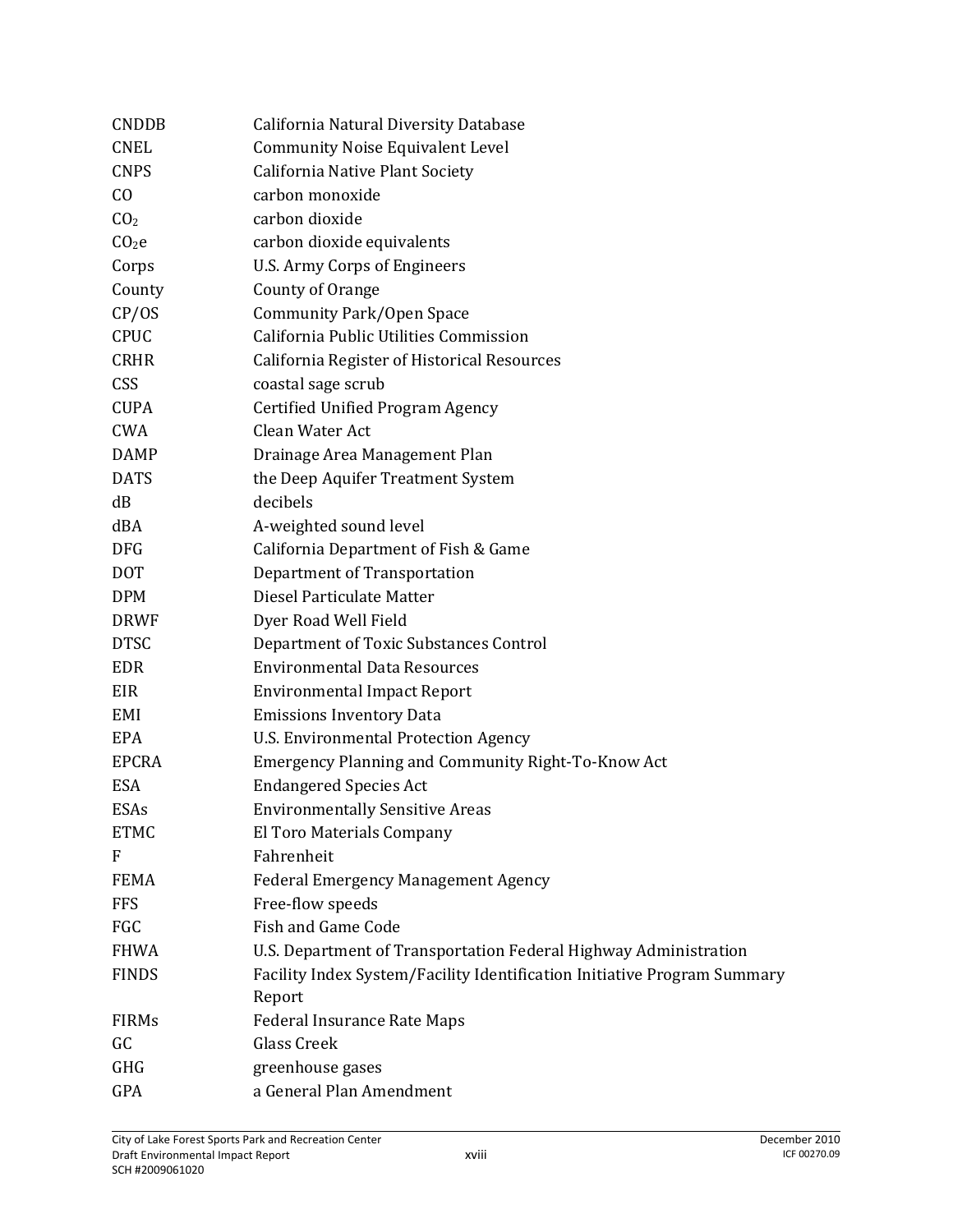| <b>CNDDB</b>      | California Natural Diversity Database                                    |
|-------------------|--------------------------------------------------------------------------|
| <b>CNEL</b>       | <b>Community Noise Equivalent Level</b>                                  |
| <b>CNPS</b>       | California Native Plant Society                                          |
| C <sub>0</sub>    | carbon monoxide                                                          |
| CO <sub>2</sub>   | carbon dioxide                                                           |
| CO <sub>2</sub> e | carbon dioxide equivalents                                               |
| Corps             | <b>U.S. Army Corps of Engineers</b>                                      |
| County            | County of Orange                                                         |
| CP/OS             | <b>Community Park/Open Space</b>                                         |
| <b>CPUC</b>       | California Public Utilities Commission                                   |
| <b>CRHR</b>       | California Register of Historical Resources                              |
| <b>CSS</b>        | coastal sage scrub                                                       |
| <b>CUPA</b>       | Certified Unified Program Agency                                         |
| CWA               | Clean Water Act                                                          |
| <b>DAMP</b>       | Drainage Area Management Plan                                            |
| <b>DATS</b>       | the Deep Aquifer Treatment System                                        |
| dB                | decibels                                                                 |
| dBA               | A-weighted sound level                                                   |
| <b>DFG</b>        | California Department of Fish & Game                                     |
| <b>DOT</b>        | Department of Transportation                                             |
| <b>DPM</b>        | Diesel Particulate Matter                                                |
| <b>DRWF</b>       | Dyer Road Well Field                                                     |
| <b>DTSC</b>       | Department of Toxic Substances Control                                   |
| EDR               | <b>Environmental Data Resources</b>                                      |
| EIR               | <b>Environmental Impact Report</b>                                       |
| EMI               | <b>Emissions Inventory Data</b>                                          |
| EPA               | <b>U.S. Environmental Protection Agency</b>                              |
| <b>EPCRA</b>      | Emergency Planning and Community Right-To-Know Act                       |
| ESA               | <b>Endangered Species Act</b>                                            |
| ESAs              | <b>Environmentally Sensitive Areas</b>                                   |
| <b>ETMC</b>       | El Toro Materials Company                                                |
| $\mathbf F$       | Fahrenheit                                                               |
| <b>FEMA</b>       | <b>Federal Emergency Management Agency</b>                               |
| <b>FFS</b>        | Free-flow speeds                                                         |
| FGC               | <b>Fish and Game Code</b>                                                |
| <b>FHWA</b>       | U.S. Department of Transportation Federal Highway Administration         |
| <b>FINDS</b>      | Facility Index System/Facility Identification Initiative Program Summary |
|                   | Report                                                                   |
| <b>FIRMs</b>      | <b>Federal Insurance Rate Maps</b>                                       |
| GC                | <b>Glass Creek</b>                                                       |
| GHG               | greenhouse gases                                                         |
| GPA               | a General Plan Amendment                                                 |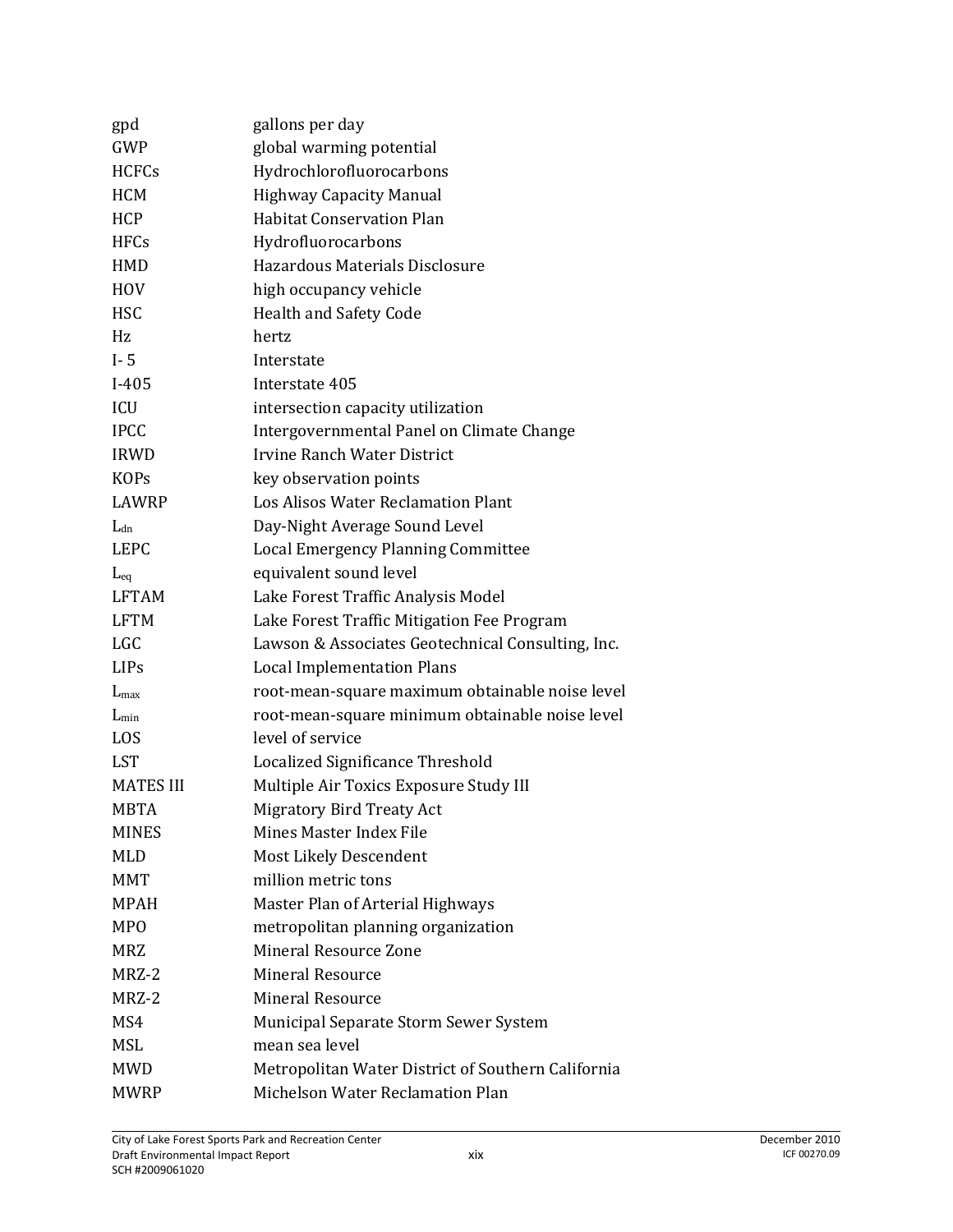| gpd              | gallons per day                                    |
|------------------|----------------------------------------------------|
| <b>GWP</b>       | global warming potential                           |
| <b>HCFCs</b>     | Hydrochlorofluorocarbons                           |
| <b>HCM</b>       | <b>Highway Capacity Manual</b>                     |
| <b>HCP</b>       | <b>Habitat Conservation Plan</b>                   |
| <b>HFCs</b>      | Hydrofluorocarbons                                 |
| <b>HMD</b>       | Hazardous Materials Disclosure                     |
| <b>HOV</b>       | high occupancy vehicle                             |
| <b>HSC</b>       | Health and Safety Code                             |
| Hz               | hertz                                              |
| $I - 5$          | Interstate                                         |
| $I-405$          | Interstate 405                                     |
| <b>ICU</b>       | intersection capacity utilization                  |
| <b>IPCC</b>      | Intergovernmental Panel on Climate Change          |
| <b>IRWD</b>      | Irvine Ranch Water District                        |
| <b>KOPs</b>      | key observation points                             |
| LAWRP            | Los Alisos Water Reclamation Plant                 |
| $L_{dn}$         | Day-Night Average Sound Level                      |
| <b>LEPC</b>      | Local Emergency Planning Committee                 |
| $L_{eq}$         | equivalent sound level                             |
| <b>LFTAM</b>     | Lake Forest Traffic Analysis Model                 |
| <b>LFTM</b>      | Lake Forest Traffic Mitigation Fee Program         |
| <b>LGC</b>       | Lawson & Associates Geotechnical Consulting, Inc.  |
| <b>LIPs</b>      | <b>Local Implementation Plans</b>                  |
| $L_{\text{max}}$ | root-mean-square maximum obtainable noise level    |
| $L_{\text{min}}$ | root-mean-square minimum obtainable noise level    |
| LOS              | level of service                                   |
| <b>LST</b>       | Localized Significance Threshold                   |
| <b>MATES III</b> | Multiple Air Toxics Exposure Study III             |
| <b>MBTA</b>      | <b>Migratory Bird Treaty Act</b>                   |
| <b>MINES</b>     | Mines Master Index File                            |
| <b>MLD</b>       | Most Likely Descendent                             |
| <b>MMT</b>       | million metric tons                                |
| MPAH             | Master Plan of Arterial Highways                   |
| <b>MPO</b>       | metropolitan planning organization                 |
| <b>MRZ</b>       | Mineral Resource Zone                              |
| MRZ-2            | <b>Mineral Resource</b>                            |
| MRZ-2            | <b>Mineral Resource</b>                            |
| MS4              | Municipal Separate Storm Sewer System              |
| MSL              | mean sea level                                     |
| <b>MWD</b>       | Metropolitan Water District of Southern California |
| <b>MWRP</b>      | Michelson Water Reclamation Plan                   |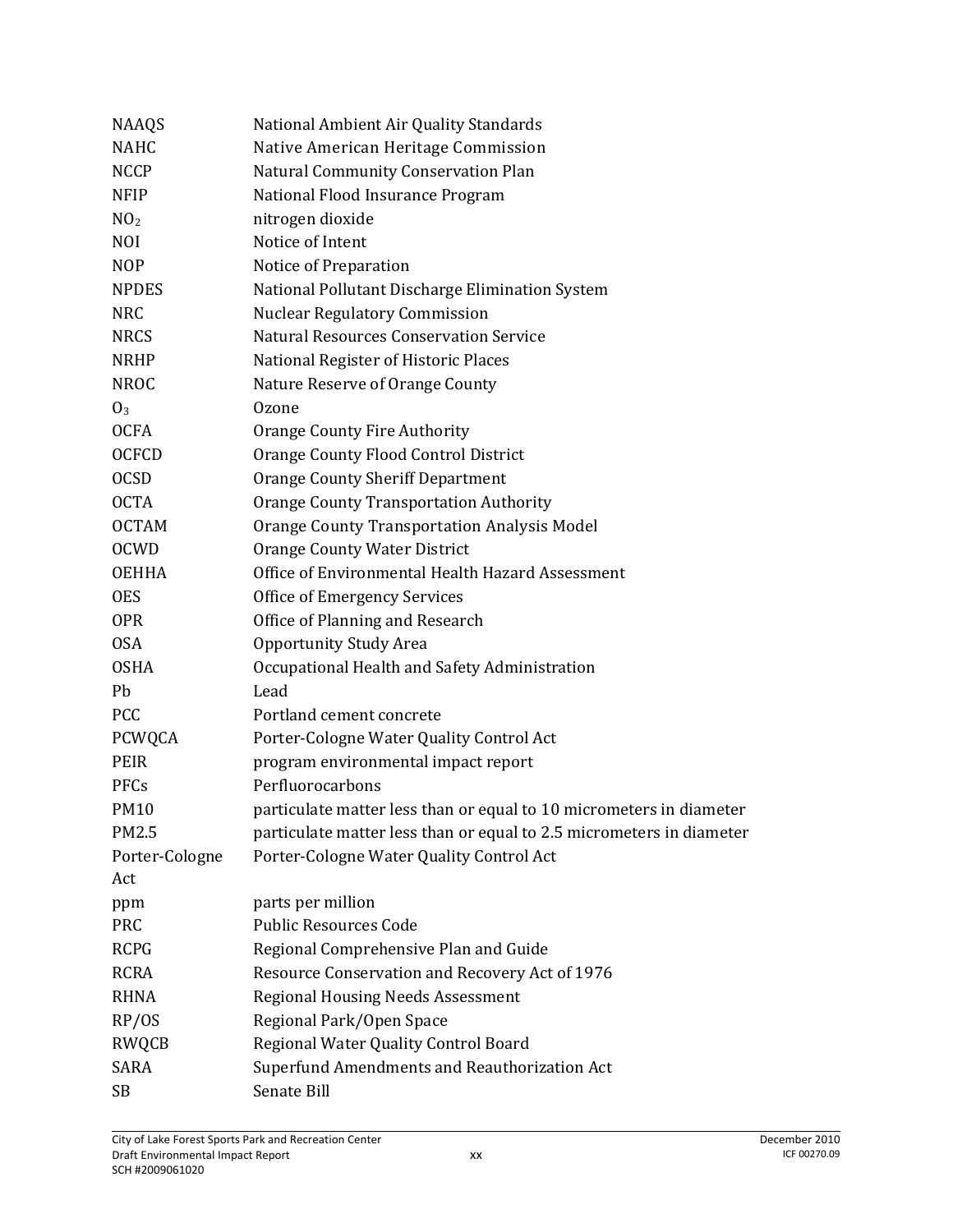| <b>NAAQS</b>    | National Ambient Air Quality Standards                               |
|-----------------|----------------------------------------------------------------------|
| <b>NAHC</b>     | Native American Heritage Commission                                  |
| <b>NCCP</b>     | Natural Community Conservation Plan                                  |
| <b>NFIP</b>     | National Flood Insurance Program                                     |
| NO <sub>2</sub> | nitrogen dioxide                                                     |
| <b>NOI</b>      | Notice of Intent                                                     |
| <b>NOP</b>      | Notice of Preparation                                                |
| <b>NPDES</b>    | National Pollutant Discharge Elimination System                      |
| <b>NRC</b>      | <b>Nuclear Regulatory Commission</b>                                 |
| <b>NRCS</b>     | <b>Natural Resources Conservation Service</b>                        |
| <b>NRHP</b>     | National Register of Historic Places                                 |
| <b>NROC</b>     | Nature Reserve of Orange County                                      |
| 0 <sub>3</sub>  | <b>Ozone</b>                                                         |
| <b>OCFA</b>     | <b>Orange County Fire Authority</b>                                  |
| <b>OCFCD</b>    | Orange County Flood Control District                                 |
| <b>OCSD</b>     | <b>Orange County Sheriff Department</b>                              |
| <b>OCTA</b>     | <b>Orange County Transportation Authority</b>                        |
| <b>OCTAM</b>    | <b>Orange County Transportation Analysis Model</b>                   |
| <b>OCWD</b>     | Orange County Water District                                         |
| <b>OEHHA</b>    | Office of Environmental Health Hazard Assessment                     |
| <b>OES</b>      | <b>Office of Emergency Services</b>                                  |
| <b>OPR</b>      | Office of Planning and Research                                      |
| <b>OSA</b>      | <b>Opportunity Study Area</b>                                        |
| <b>OSHA</b>     | Occupational Health and Safety Administration                        |
| Pb              | Lead                                                                 |
| <b>PCC</b>      | Portland cement concrete                                             |
| PCWQCA          | Porter-Cologne Water Quality Control Act                             |
| PEIR            | program environmental impact report                                  |
| <b>PFCs</b>     | Perfluorocarbons                                                     |
| <b>PM10</b>     | particulate matter less than or equal to 10 micrometers in diameter  |
| PM2.5           | particulate matter less than or equal to 2.5 micrometers in diameter |
| Porter-Cologne  | Porter-Cologne Water Quality Control Act                             |
| Act             |                                                                      |
| ppm             | parts per million                                                    |
| <b>PRC</b>      | <b>Public Resources Code</b>                                         |
| <b>RCPG</b>     | Regional Comprehensive Plan and Guide                                |
| <b>RCRA</b>     | Resource Conservation and Recovery Act of 1976                       |
| <b>RHNA</b>     | <b>Regional Housing Needs Assessment</b>                             |
| RP/OS           | Regional Park/Open Space                                             |
| RWQCB           | Regional Water Quality Control Board                                 |
| <b>SARA</b>     | Superfund Amendments and Reauthorization Act                         |
| <b>SB</b>       | Senate Bill                                                          |